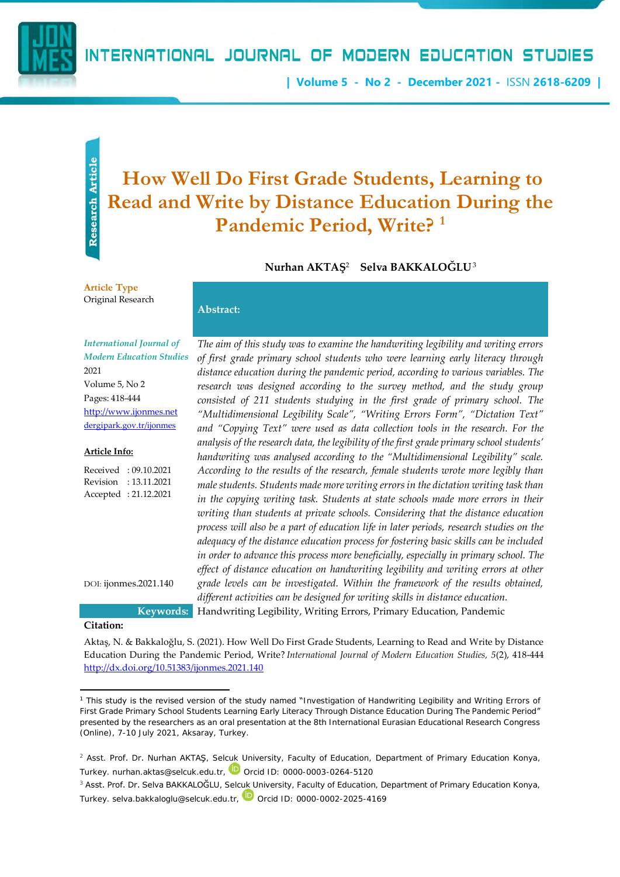

## INTERNATIONAL JOURNAL OF MODERN EDUCATION STUDIES

**| Volume 5 - No 2 - December 2021 -** ISSN **2618-6209 |**

# Research Article **Research Article**

# **How Well Do First Grade Students, Learning to Read and Write by Distance Education During the Pandemic Period, Write? <sup>1</sup>**

 $\bm{\mathsf{Num}}$ an AKTAŞ<sup>2</sup> Selva BAKKALOGLU<sup>3</sup>

#### **Article Type** Original Research

*International Journal of Modern Education Studies* 2021 Volume 5, No 2 Pages: 418-444 [http://www.ijonmes.net](http://www.ijonmes.net/)

**Abstract:**

#### **Article Info:**

Received : 09.10.2021 Revision : 13.11.2021 Accepted : 21.12.2021

DOI: ijonmes.2021.140

[dergipark.gov.tr/ijonmes](http://www.dergipark.gov.tr/ijonmes)

*The aim of this study was to examine the handwriting legibility and writing errors of first grade primary school students who were learning early literacy through distance education during the pandemic period, according to various variables. The research was designed according to the survey method, and the study group consisted of 211 students studying in the first grade of primary school. The "Multidimensional Legibility Scale", "Writing Errors Form", "Dictation Text" and "Copying Text" were used as data collection tools in the research. For the analysis of the research data, the legibility of the first grade primary school students' handwriting was analysed according to the "Multidimensional Legibility" scale. According to the results of the research, female students wrote more legibly than male students. Students made more writing errors in the dictation writing task than in the copying writing task. Students at state schools made more errors in their writing than students at private schools. Considering that the distance education process will also be a part of education life in later periods, research studies on the adequacy of the distance education process for fostering basic skills can be included in order to advance this process more beneficially, especially in primary school. The effect of distance education on handwriting legibility and writing errors at other grade levels can be investigated. Within the framework of the results obtained, different activities can be designed for writing skills in distance education.* **Keywords:** Handwriting Legibility, Writing Errors, Primary Education, Pandemic

**Citation:**

Aktaş, N. & Bakkaloğlu, S. (2021). How Well Do First Grade Students, Learning to Read and Write by Distance Education During the Pandemic Period, Write? *International Journal of Modern Education Studies, 5*(2), 418-444 <http://dx.doi.org/10.51383/ijonmes.2021.140>

<sup>1</sup> This study is the revised version of the study named "Investigation of Handwriting Legibility and Writing Errors of First Grade Primary School Students Learning Early Literacy Through Distance Education During The Pandemic Period" presented by the researchers as an oral presentation at the 8th International Eurasian Educational Research Congress (Online), 7-10 July 2021, Aksaray, Turkey.

<sup>&</sup>lt;sup>2</sup> Asst. Prof. Dr. Nurhan AKTAŞ, Selcuk University, Faculty of Education, Department of Primary Education Konya, Turkey. nurhan.aktas@selcuk.edu.tr, Dorcid ID: 0000-0003-0264-5120

<sup>&</sup>lt;sup>3</sup> Asst. Prof. Dr. Selva BAKKALOĞLU, Selcuk University, Faculty of Education, Department of Primary Education Konya, Turkey. selva.bakkaloglu@selcuk.edu.tr, Dorcid ID: 0000-0002-2025-4169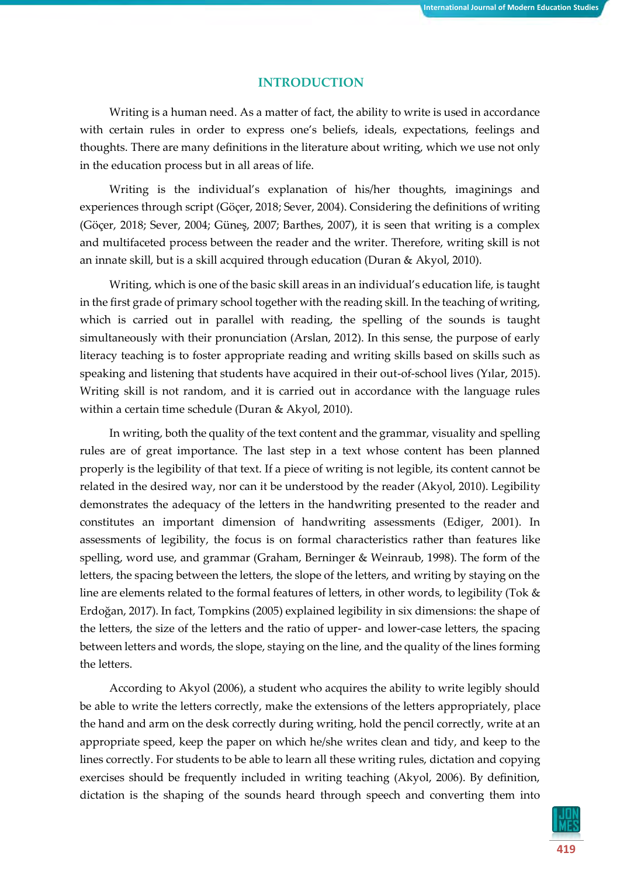#### **INTRODUCTION**

Writing is a human need. As a matter of fact, the ability to write is used in accordance with certain rules in order to express one's beliefs, ideals, expectations, feelings and thoughts. There are many definitions in the literature about writing, which we use not only in the education process but in all areas of life.

Writing is the individual's explanation of his/her thoughts, imaginings and experiences through script (Göçer, 2018; Sever, 2004). Considering the definitions of writing (Göçer, 2018; Sever, 2004; Güneş, 2007; Barthes, 2007), it is seen that writing is a complex and multifaceted process between the reader and the writer. Therefore, writing skill is not an innate skill, but is a skill acquired through education (Duran & Akyol, 2010).

Writing, which is one of the basic skill areas in an individual's education life, is taught in the first grade of primary school together with the reading skill. In the teaching of writing, which is carried out in parallel with reading, the spelling of the sounds is taught simultaneously with their pronunciation (Arslan, 2012). In this sense, the purpose of early literacy teaching is to foster appropriate reading and writing skills based on skills such as speaking and listening that students have acquired in their out-of-school lives (Yılar, 2015). Writing skill is not random, and it is carried out in accordance with the language rules within a certain time schedule (Duran & Akyol, 2010).

In writing, both the quality of the text content and the grammar, visuality and spelling rules are of great importance. The last step in a text whose content has been planned properly is the legibility of that text. If a piece of writing is not legible, its content cannot be related in the desired way, nor can it be understood by the reader (Akyol, 2010). Legibility demonstrates the adequacy of the letters in the handwriting presented to the reader and constitutes an important dimension of handwriting assessments (Ediger, 2001). In assessments of legibility, the focus is on formal characteristics rather than features like spelling, word use, and grammar (Graham, Berninger & Weinraub, 1998). The form of the letters, the spacing between the letters, the slope of the letters, and writing by staying on the line are elements related to the formal features of letters, in other words, to legibility (Tok & Erdoğan, 2017). In fact, Tompkins (2005) explained legibility in six dimensions: the shape of the letters, the size of the letters and the ratio of upper- and lower-case letters, the spacing between letters and words, the slope, staying on the line, and the quality of the lines forming the letters.

According to Akyol (2006), a student who acquires the ability to write legibly should be able to write the letters correctly, make the extensions of the letters appropriately, place the hand and arm on the desk correctly during writing, hold the pencil correctly, write at an appropriate speed, keep the paper on which he/she writes clean and tidy, and keep to the lines correctly. For students to be able to learn all these writing rules, dictation and copying exercises should be frequently included in writing teaching (Akyol, 2006). By definition, dictation is the shaping of the sounds heard through speech and converting them into

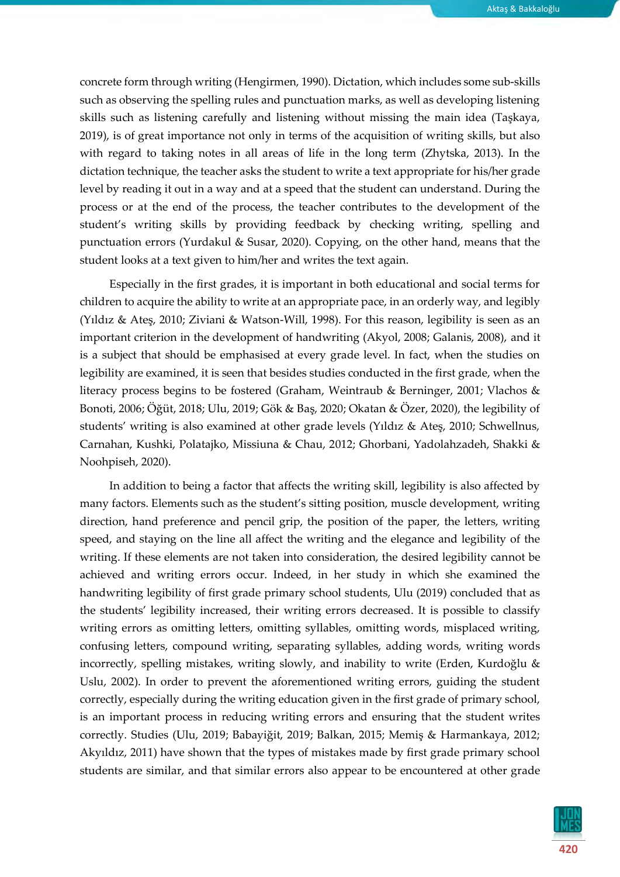concrete form through writing (Hengirmen, 1990). Dictation, which includes some sub-skills such as observing the spelling rules and punctuation marks, as well as developing listening skills such as listening carefully and listening without missing the main idea (Taşkaya, 2019), is of great importance not only in terms of the acquisition of writing skills, but also with regard to taking notes in all areas of life in the long term (Zhytska, 2013). In the dictation technique, the teacher asks the student to write a text appropriate for his/her grade level by reading it out in a way and at a speed that the student can understand. During the process or at the end of the process, the teacher contributes to the development of the student's writing skills by providing feedback by checking writing, spelling and punctuation errors (Yurdakul & Susar, 2020). Copying, on the other hand, means that the student looks at a text given to him/her and writes the text again.

Especially in the first grades, it is important in both educational and social terms for children to acquire the ability to write at an appropriate pace, in an orderly way, and legibly (Yıldız & Ateş, 2010; Ziviani & Watson-Will, 1998). For this reason, legibility is seen as an important criterion in the development of handwriting (Akyol, 2008; Galanis, 2008), and it is a subject that should be emphasised at every grade level. In fact, when the studies on legibility are examined, it is seen that besides studies conducted in the first grade, when the literacy process begins to be fostered (Graham, Weintraub & Berninger, 2001; Vlachos & Bonoti, 2006; Öğüt, 2018; Ulu, 2019; Gök & Baş, 2020; Okatan & Özer, 2020), the legibility of students' writing is also examined at other grade levels (Yıldız & Ateş, 2010; Schwellnus, Carnahan, Kushki, Polatajko, Missiuna & Chau, 2012; Ghorbani, Yadolahzadeh, Shakki & Noohpiseh, 2020).

In addition to being a factor that affects the writing skill, legibility is also affected by many factors. Elements such as the student's sitting position, muscle development, writing direction, hand preference and pencil grip, the position of the paper, the letters, writing speed, and staying on the line all affect the writing and the elegance and legibility of the writing. If these elements are not taken into consideration, the desired legibility cannot be achieved and writing errors occur. Indeed, in her study in which she examined the handwriting legibility of first grade primary school students, Ulu (2019) concluded that as the students' legibility increased, their writing errors decreased. It is possible to classify writing errors as omitting letters, omitting syllables, omitting words, misplaced writing, confusing letters, compound writing, separating syllables, adding words, writing words incorrectly, spelling mistakes, writing slowly, and inability to write (Erden, Kurdoğlu & Uslu, 2002). In order to prevent the aforementioned writing errors, guiding the student correctly, especially during the writing education given in the first grade of primary school, is an important process in reducing writing errors and ensuring that the student writes correctly. Studies (Ulu, 2019; Babayiğit, 2019; Balkan, 2015; Memiş & Harmankaya, 2012; Akyıldız, 2011) have shown that the types of mistakes made by first grade primary school students are similar, and that similar errors also appear to be encountered at other grade

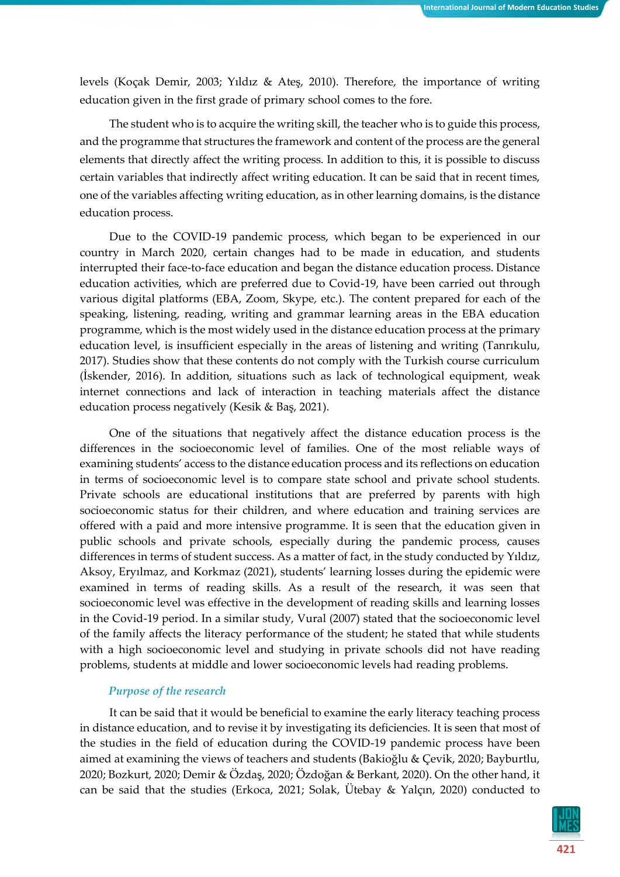levels (Koçak Demir, 2003; Yıldız & Ateş, 2010). Therefore, the importance of writing education given in the first grade of primary school comes to the fore.

The student who is to acquire the writing skill, the teacher who is to guide this process, and the programme that structures the framework and content of the process are the general elements that directly affect the writing process. In addition to this, it is possible to discuss certain variables that indirectly affect writing education. It can be said that in recent times, one of the variables affecting writing education, as in other learning domains, is the distance education process.

Due to the COVID-19 pandemic process, which began to be experienced in our country in March 2020, certain changes had to be made in education, and students interrupted their face-to-face education and began the distance education process. Distance education activities, which are preferred due to Covid-19, have been carried out through various digital platforms (EBA, Zoom, Skype, etc.). The content prepared for each of the speaking, listening, reading, writing and grammar learning areas in the EBA education programme, which is the most widely used in the distance education process at the primary education level, is insufficient especially in the areas of listening and writing (Tanrıkulu, 2017). Studies show that these contents do not comply with the Turkish course curriculum (İskender, 2016). In addition, situations such as lack of technological equipment, weak internet connections and lack of interaction in teaching materials affect the distance education process negatively (Kesik & Baş, 2021).

One of the situations that negatively affect the distance education process is the differences in the socioeconomic level of families. One of the most reliable ways of examining students' access to the distance education process and its reflections on education in terms of socioeconomic level is to compare state school and private school students. Private schools are educational institutions that are preferred by parents with high socioeconomic status for their children, and where education and training services are offered with a paid and more intensive programme. It is seen that the education given in public schools and private schools, especially during the pandemic process, causes differences in terms of student success. As a matter of fact, in the study conducted by Yıldız, Aksoy, Eryılmaz, and Korkmaz (2021), students' learning losses during the epidemic were examined in terms of reading skills. As a result of the research, it was seen that socioeconomic level was effective in the development of reading skills and learning losses in the Covid-19 period. In a similar study, Vural (2007) stated that the socioeconomic level of the family affects the literacy performance of the student; he stated that while students with a high socioeconomic level and studying in private schools did not have reading problems, students at middle and lower socioeconomic levels had reading problems.

#### *Purpose of the research*

It can be said that it would be beneficial to examine the early literacy teaching process in distance education, and to revise it by investigating its deficiencies. It is seen that most of the studies in the field of education during the COVID-19 pandemic process have been aimed at examining the views of teachers and students (Bakioğlu & Çevik, 2020; Bayburtlu, 2020; Bozkurt, 2020; Demir & Özdaş, 2020; Özdoğan & Berkant, 2020). On the other hand, it can be said that the studies (Erkoca, 2021; Solak, Ütebay & Yalçın, 2020) conducted to

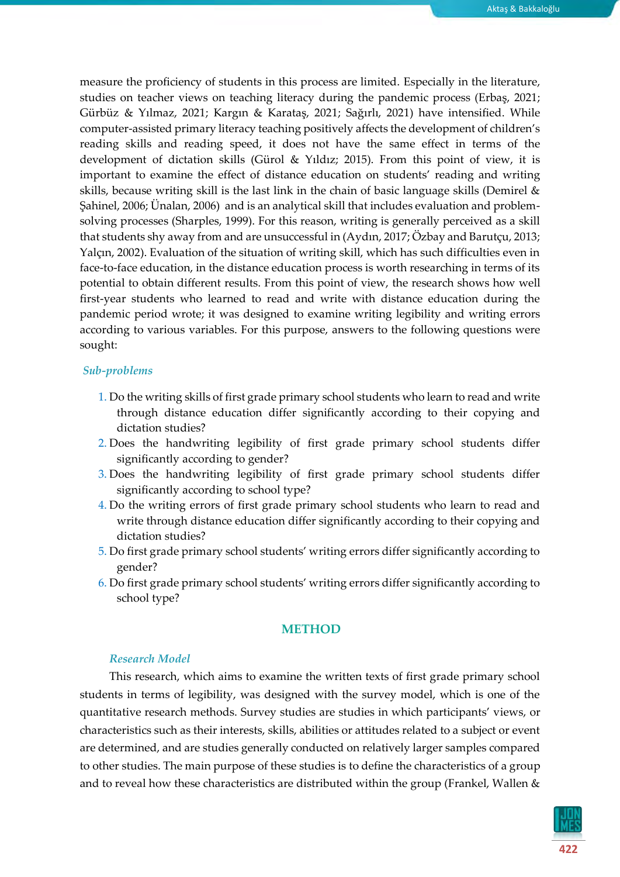measure the proficiency of students in this process are limited. Especially in the literature, studies on teacher views on teaching literacy during the pandemic process (Erbaş, 2021; Gürbüz & Yılmaz, 2021; Kargın & Karataş, 2021; Sağırlı, 2021) have intensified. While computer-assisted primary literacy teaching positively affects the development of children's reading skills and reading speed, it does not have the same effect in terms of the development of dictation skills (Gürol & Yıldız; 2015). From this point of view, it is important to examine the effect of distance education on students' reading and writing skills, because writing skill is the last link in the chain of basic language skills (Demirel & Şahinel, 2006; Ünalan, 2006) and is an analytical skill that includes evaluation and problemsolving processes (Sharples, 1999). For this reason, writing is generally perceived as a skill that students shy away from and are unsuccessful in (Aydın, 2017; Özbay and Barutçu, 2013; Yalçın, 2002). Evaluation of the situation of writing skill, which has such difficulties even in face-to-face education, in the distance education process is worth researching in terms of its potential to obtain different results. From this point of view, the research shows how well first-year students who learned to read and write with distance education during the pandemic period wrote; it was designed to examine writing legibility and writing errors according to various variables. For this purpose, answers to the following questions were sought:

#### *Sub-problems*

- 1. Do the writing skills of first grade primary school students who learn to read and write through distance education differ significantly according to their copying and dictation studies?
- 2. Does the handwriting legibility of first grade primary school students differ significantly according to gender?
- 3. Does the handwriting legibility of first grade primary school students differ significantly according to school type?
- 4. Do the writing errors of first grade primary school students who learn to read and write through distance education differ significantly according to their copying and dictation studies?
- 5. Do first grade primary school students' writing errors differ significantly according to gender?
- 6. Do first grade primary school students' writing errors differ significantly according to school type?

#### **METHOD**

#### *Research Model*

This research, which aims to examine the written texts of first grade primary school students in terms of legibility, was designed with the survey model, which is one of the quantitative research methods. Survey studies are studies in which participants' views, or characteristics such as their interests, skills, abilities or attitudes related to a subject or event are determined, and are studies generally conducted on relatively larger samples compared to other studies. The main purpose of these studies is to define the characteristics of a group and to reveal how these characteristics are distributed within the group (Frankel, Wallen &

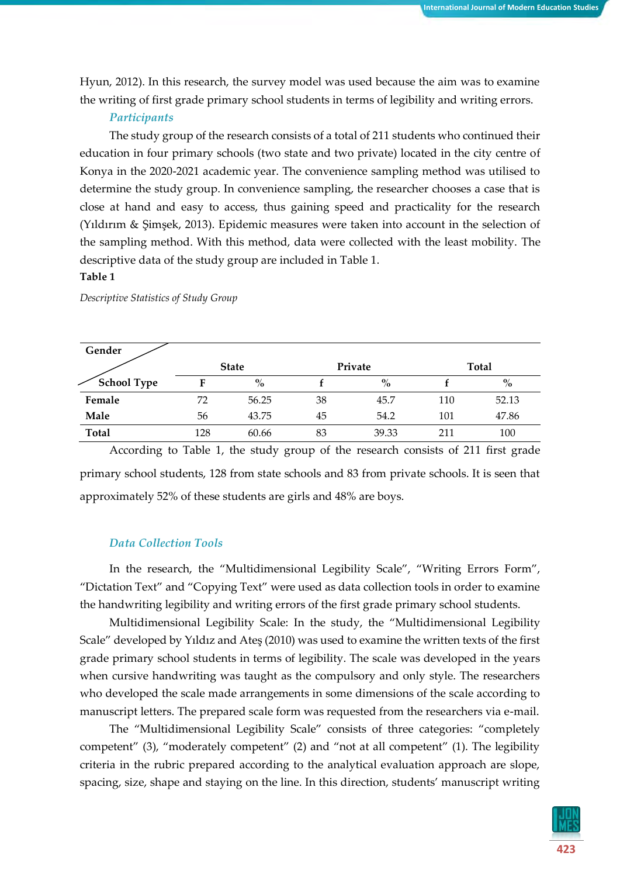Hyun, 2012). In this research, the survey model was used because the aim was to examine the writing of first grade primary school students in terms of legibility and writing errors.

#### *Participants*

The study group of the research consists of a total of 211 students who continued their education in four primary schools (two state and two private) located in the city centre of Konya in the 2020-2021 academic year. The convenience sampling method was utilised to determine the study group. In convenience sampling, the researcher chooses a case that is close at hand and easy to access, thus gaining speed and practicality for the research (Yıldırım & Şimşek, 2013). Epidemic measures were taken into account in the selection of the sampling method. With this method, data were collected with the least mobility. The descriptive data of the study group are included in Table 1.

#### **Table 1**

| Gender             |              |       |    |         |       |       |  |
|--------------------|--------------|-------|----|---------|-------|-------|--|
|                    | <b>State</b> |       |    | Private | Total |       |  |
| <b>School Type</b> | F            | $\%$  |    | $\%$    |       | $\%$  |  |
| Female             | 72           | 56.25 | 38 | 45.7    | 110   | 52.13 |  |
| Male               | 56           | 43.75 | 45 | 54.2    | 101   | 47.86 |  |
| <b>Total</b>       | 128          | 60.66 | 83 | 39.33   | 211   | 100   |  |

*Descriptive Statistics of Study Group*

According to Table 1, the study group of the research consists of 211 first grade primary school students, 128 from state schools and 83 from private schools. It is seen that approximately 52% of these students are girls and 48% are boys.

#### *Data Collection Tools*

In the research, the "Multidimensional Legibility Scale", "Writing Errors Form", "Dictation Text" and "Copying Text" were used as data collection tools in order to examine the handwriting legibility and writing errors of the first grade primary school students.

Multidimensional Legibility Scale: In the study, the "Multidimensional Legibility Scale" developed by Yıldız and Ateş (2010) was used to examine the written texts of the first grade primary school students in terms of legibility. The scale was developed in the years when cursive handwriting was taught as the compulsory and only style. The researchers who developed the scale made arrangements in some dimensions of the scale according to manuscript letters. The prepared scale form was requested from the researchers via e-mail.

The "Multidimensional Legibility Scale" consists of three categories: "completely competent" (3), "moderately competent" (2) and "not at all competent" (1). The legibility criteria in the rubric prepared according to the analytical evaluation approach are slope, spacing, size, shape and staying on the line. In this direction, students' manuscript writing

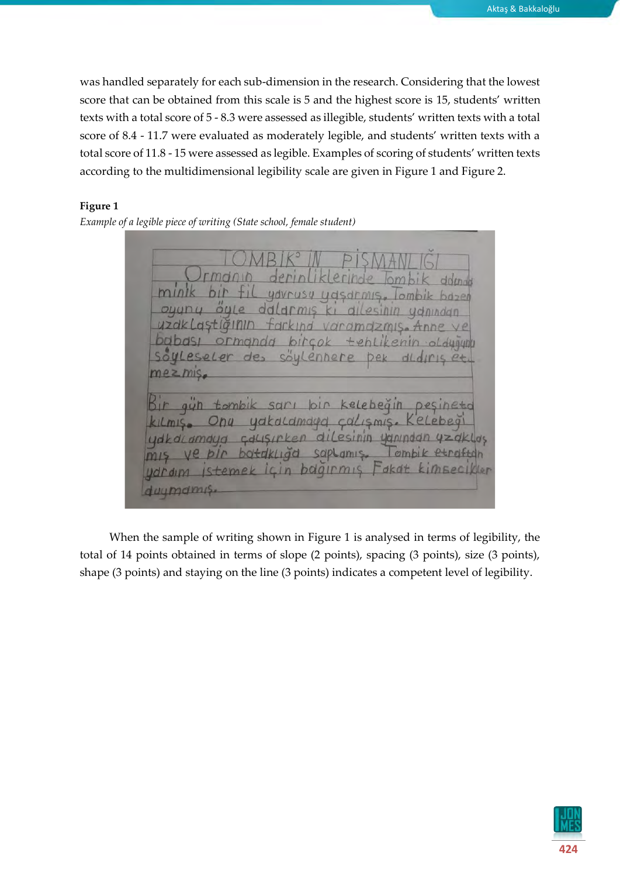was handled separately for each sub-dimension in the research. Considering that the lowest score that can be obtained from this scale is 5 and the highest score is 15, students' written texts with a total score of 5 - 8.3 were assessed as illegible, students' written texts with a total score of 8.4 - 11.7 were evaluated as moderately legible, and students' written texts with a total score of 11.8 - 15 were assessed as legible. Examples of scoring of students' written texts according to the multidimensional legibility scale are given in Figure 1 and Figure 2.

#### **Figure 1**

*Example of a legible piece of writing (State school, female student)*

vorome Leseler  $de$ COL enhere Dek dldiris  $mezms$ tomb  $Opu$  $Lm1$ ydkaldmdyd  $M/S$ cdLISIrken dil esinin yanından y udkdcamgud sapi  $emb$ ye  $amS$ botakliga udraim Istemek pagirmis  $n$ duumdmis

When the sample of writing shown in Figure 1 is analysed in terms of legibility, the total of 14 points obtained in terms of slope (2 points), spacing (3 points), size (3 points), shape (3 points) and staying on the line (3 points) indicates a competent level of legibility.

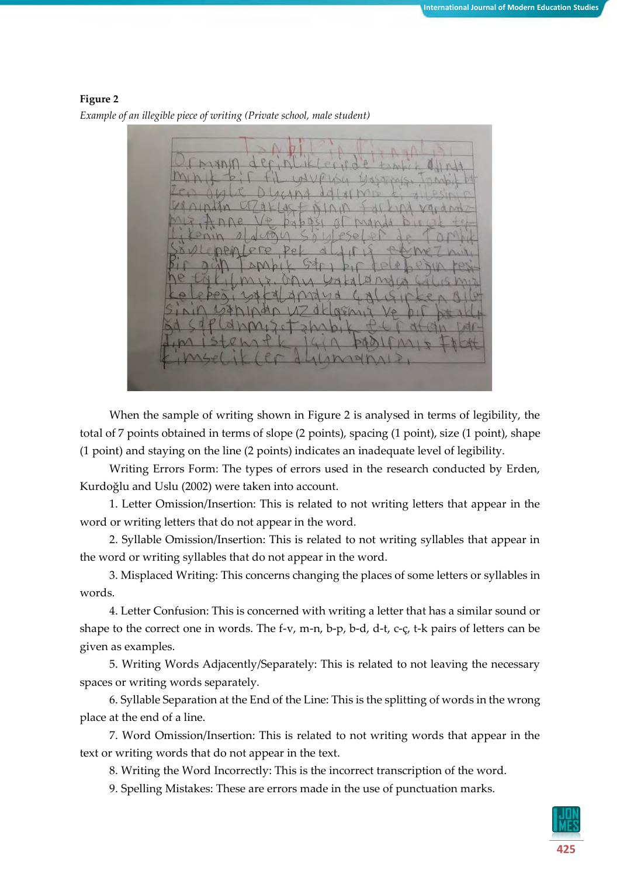**Figure 2** *Example of an illegible piece of writing (Private school, male student)*

When the sample of writing shown in Figure 2 is analysed in terms of legibility, the total of 7 points obtained in terms of slope (2 points), spacing (1 point), size (1 point), shape (1 point) and staying on the line (2 points) indicates an inadequate level of legibility.

Writing Errors Form: The types of errors used in the research conducted by Erden, Kurdoğlu and Uslu (2002) were taken into account.

1. Letter Omission/Insertion: This is related to not writing letters that appear in the word or writing letters that do not appear in the word.

2. Syllable Omission/Insertion: This is related to not writing syllables that appear in the word or writing syllables that do not appear in the word.

3. Misplaced Writing: This concerns changing the places of some letters or syllables in words.

4. Letter Confusion: This is concerned with writing a letter that has a similar sound or shape to the correct one in words. The f-v, m-n, b-p, b-d, d-t, c-ç, t-k pairs of letters can be given as examples.

5. Writing Words Adjacently/Separately: This is related to not leaving the necessary spaces or writing words separately.

6. Syllable Separation at the End of the Line: This is the splitting of words in the wrong place at the end of a line.

7. Word Omission/Insertion: This is related to not writing words that appear in the text or writing words that do not appear in the text.

8. Writing the Word Incorrectly: This is the incorrect transcription of the word.

9. Spelling Mistakes: These are errors made in the use of punctuation marks.

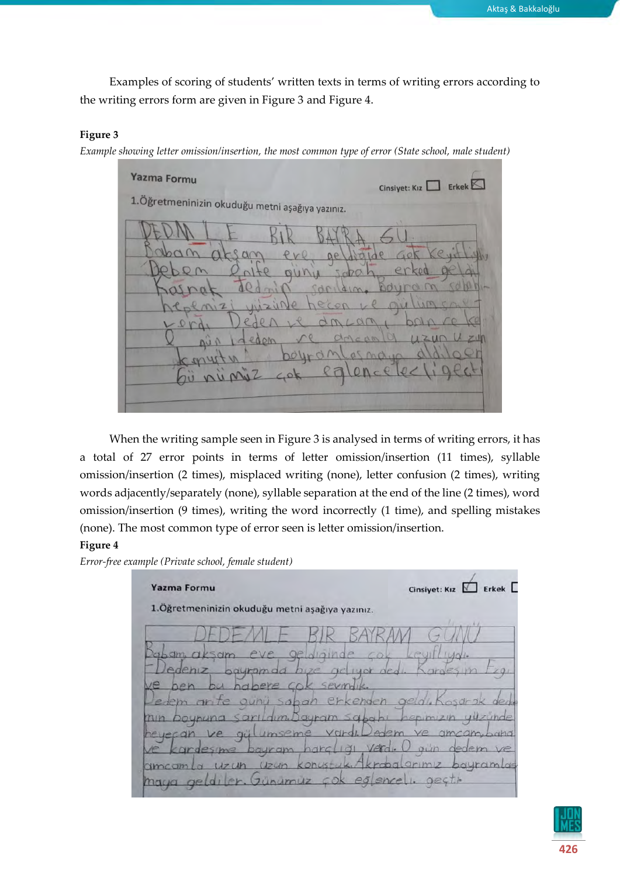Examples of scoring of students' written texts in terms of writing errors according to the writing errors form are given in Figure 3 and Figure 4.

#### **Figure 3**

*Example showing letter omission/insertion, the most common type of error (State school, male student)*



When the writing sample seen in Figure 3 is analysed in terms of writing errors, it has a total of 27 error points in terms of letter omission/insertion (11 times), syllable omission/insertion (2 times), misplaced writing (none), letter confusion (2 times), writing words adjacently/separately (none), syllable separation at the end of the line (2 times), word omission/insertion (9 times), writing the word incorrectly (1 time), and spelling mistakes (none). The most common type of error seen is letter omission/insertion.

#### **Figure 4**

*Error-free example (Private school, female student)*

Cinsiyet: Kız **D** Erkek **Yazma Formu** 1. Öğretmeninizin okuduğu metni aşağıya yazınız.  $10Y$ ayramlas gestr eglencel Günumuz maya  $\alpha$ 

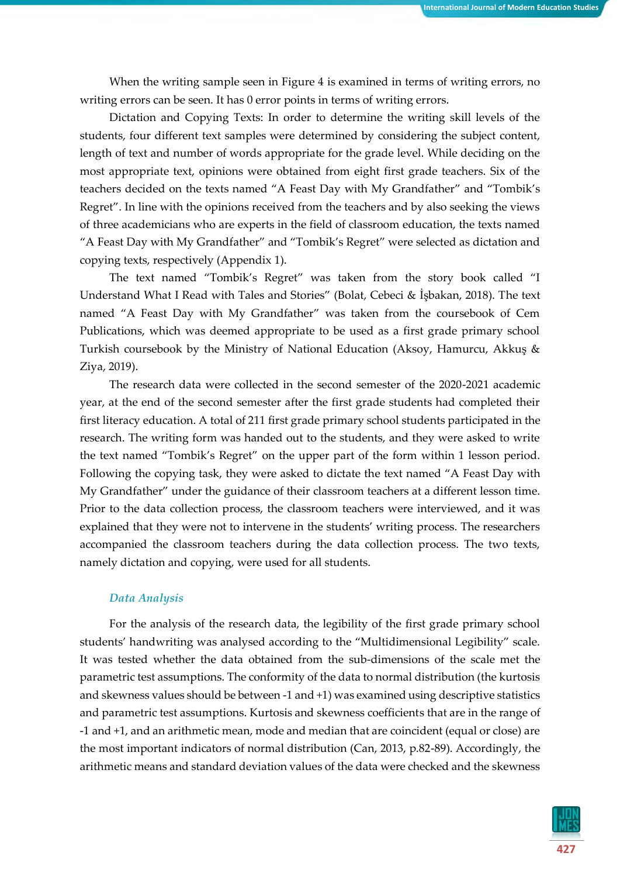When the writing sample seen in Figure 4 is examined in terms of writing errors, no writing errors can be seen. It has 0 error points in terms of writing errors.

Dictation and Copying Texts: In order to determine the writing skill levels of the students, four different text samples were determined by considering the subject content, length of text and number of words appropriate for the grade level. While deciding on the most appropriate text, opinions were obtained from eight first grade teachers. Six of the teachers decided on the texts named "A Feast Day with My Grandfather" and "Tombik's Regret". In line with the opinions received from the teachers and by also seeking the views of three academicians who are experts in the field of classroom education, the texts named "A Feast Day with My Grandfather" and "Tombik's Regret" were selected as dictation and copying texts, respectively (Appendix 1).

The text named "Tombik's Regret" was taken from the story book called "I Understand What I Read with Tales and Stories" (Bolat, Cebeci & İşbakan, 2018). The text named "A Feast Day with My Grandfather" was taken from the coursebook of Cem Publications, which was deemed appropriate to be used as a first grade primary school Turkish coursebook by the Ministry of National Education (Aksoy, Hamurcu, Akkuş & Ziya, 2019).

The research data were collected in the second semester of the 2020-2021 academic year, at the end of the second semester after the first grade students had completed their first literacy education. A total of 211 first grade primary school students participated in the research. The writing form was handed out to the students, and they were asked to write the text named "Tombik's Regret" on the upper part of the form within 1 lesson period. Following the copying task, they were asked to dictate the text named "A Feast Day with My Grandfather" under the guidance of their classroom teachers at a different lesson time. Prior to the data collection process, the classroom teachers were interviewed, and it was explained that they were not to intervene in the students' writing process. The researchers accompanied the classroom teachers during the data collection process. The two texts, namely dictation and copying, were used for all students.

#### *Data Analysis*

For the analysis of the research data, the legibility of the first grade primary school students' handwriting was analysed according to the "Multidimensional Legibility" scale. It was tested whether the data obtained from the sub-dimensions of the scale met the parametric test assumptions. The conformity of the data to normal distribution (the kurtosis and skewness values should be between -1 and +1) was examined using descriptive statistics and parametric test assumptions. Kurtosis and skewness coefficients that are in the range of -1 and +1, and an arithmetic mean, mode and median that are coincident (equal or close) are the most important indicators of normal distribution (Can, 2013, p.82-89). Accordingly, the arithmetic means and standard deviation values of the data were checked and the skewness

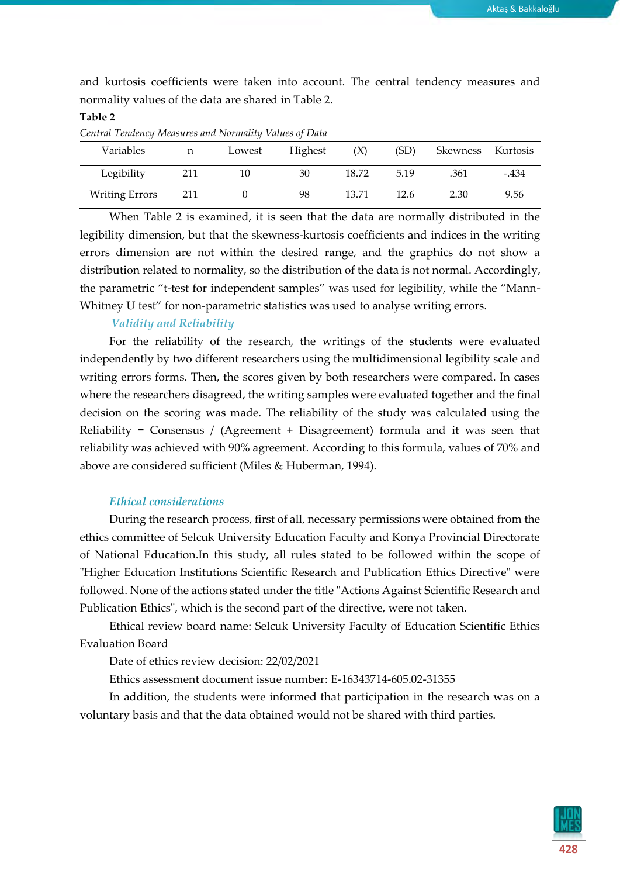and kurtosis coefficients were taken into account. The central tendency measures and normality values of the data are shared in Table 2.

#### **Table 2**

*Central Tendency Measures and Normality Values of Data*

| Variables             | n    | Lowest | Highest | (X)   | (SD) | Skewness | Kurtosis |
|-----------------------|------|--------|---------|-------|------|----------|----------|
| Legibility            | 211  | 10     | 30      | 18.72 | 5.19 | .361     | -.434    |
| <b>Writing Errors</b> | -211 |        | 98      | 13.71 | 12.6 | 2.30     | 9.56     |

When Table 2 is examined, it is seen that the data are normally distributed in the legibility dimension, but that the skewness-kurtosis coefficients and indices in the writing errors dimension are not within the desired range, and the graphics do not show a distribution related to normality, so the distribution of the data is not normal. Accordingly, the parametric "t-test for independent samples" was used for legibility, while the "Mann-Whitney U test" for non-parametric statistics was used to analyse writing errors.

#### *Validity and Reliability*

For the reliability of the research, the writings of the students were evaluated independently by two different researchers using the multidimensional legibility scale and writing errors forms. Then, the scores given by both researchers were compared. In cases where the researchers disagreed, the writing samples were evaluated together and the final decision on the scoring was made. The reliability of the study was calculated using the Reliability = Consensus / (Agreement + Disagreement) formula and it was seen that reliability was achieved with 90% agreement. According to this formula, values of 70% and above are considered sufficient (Miles & Huberman, 1994).

#### *Ethical considerations*

During the research process, first of all, necessary permissions were obtained from the ethics committee of Selcuk University Education Faculty and Konya Provincial Directorate of National Education.In this study, all rules stated to be followed within the scope of "Higher Education Institutions Scientific Research and Publication Ethics Directive" were followed. None of the actions stated under the title "Actions Against Scientific Research and Publication Ethics", which is the second part of the directive, were not taken.

Ethical review board name: Selcuk University Faculty of Education Scientific Ethics Evaluation Board

Date of ethics review decision: 22/02/2021

Ethics assessment document issue number: E-16343714-605.02-31355

In addition, the students were informed that participation in the research was on a voluntary basis and that the data obtained would not be shared with third parties.

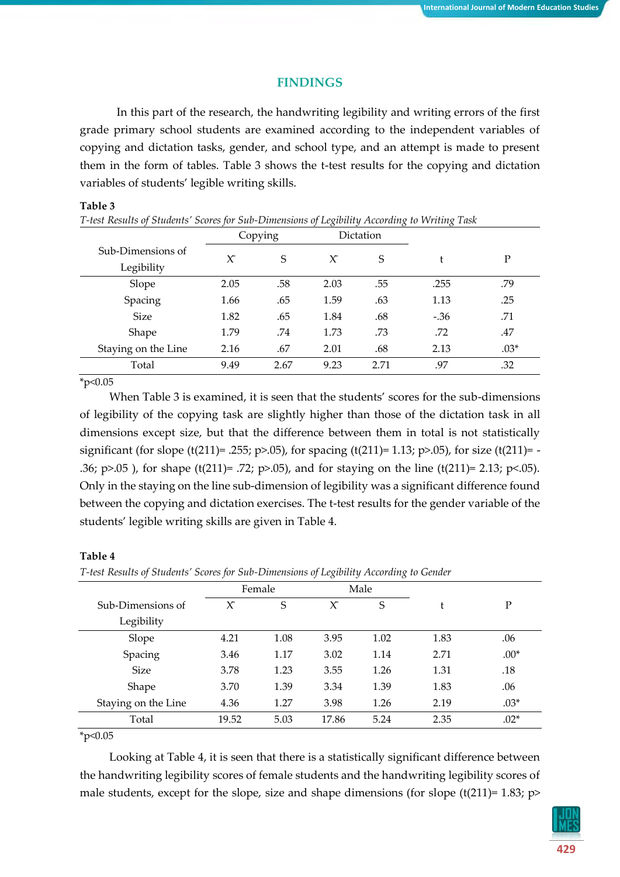#### **FINDINGS**

In this part of the research, the handwriting legibility and writing errors of the first grade primary school students are examined according to the independent variables of copying and dictation tasks, gender, and school type, and an attempt is made to present them in the form of tables. Table 3 shows the t-test results for the copying and dictation variables of students' legible writing skills.

#### **Table 3**

| T-test Results of Students' Scores for Sub-Dimensions of Legibility According to Writing Task |         |      |        |           |        |        |  |  |  |
|-----------------------------------------------------------------------------------------------|---------|------|--------|-----------|--------|--------|--|--|--|
|                                                                                               | Copying |      |        | Dictation |        |        |  |  |  |
| Sub-Dimensions of                                                                             | $\chi$  | S    | $\chi$ | S         | Ł      | P      |  |  |  |
| Legibility                                                                                    |         |      |        |           |        |        |  |  |  |
| Slope                                                                                         | 2.05    | .58  | 2.03   | .55       | .255   | .79    |  |  |  |
| Spacing                                                                                       | 1.66    | .65  | 1.59   | .63       | 1.13   | .25    |  |  |  |
| <b>Size</b>                                                                                   | 1.82    | .65  | 1.84   | .68       | $-.36$ | .71    |  |  |  |
| Shape                                                                                         | 1.79    | .74  | 1.73   | .73       | .72    | .47    |  |  |  |
| Staying on the Line                                                                           | 2.16    | .67  | 2.01   | .68       | 2.13   | $.03*$ |  |  |  |
| Total                                                                                         | 9.49    | 2.67 | 9.23   | 2.71      | .97    | .32    |  |  |  |

 $*p<0.05$ 

When Table 3 is examined, it is seen that the students' scores for the sub-dimensions of legibility of the copying task are slightly higher than those of the dictation task in all dimensions except size, but that the difference between them in total is not statistically significant (for slope (t(211)= .255; p>.05), for spacing (t(211)= 1.13; p>.05), for size (t(211)= -.36;  $p > .05$ ), for shape (t(211)= .72;  $p > .05$ ), and for staying on the line (t(211)= 2.13;  $p < .05$ ). Only in the staying on the line sub-dimension of legibility was a significant difference found between the copying and dictation exercises. The t-test results for the gender variable of the students' legible writing skills are given in Table 4.

#### **Table 4**

*T-test Results of Students' Scores for Sub-Dimensions of Legibility According to Gender*

|                     |        |        | $\circ$ | ◡<br>$\circ$ |      |        |
|---------------------|--------|--------|---------|--------------|------|--------|
|                     |        | Female |         | Male         |      |        |
| Sub-Dimensions of   | $\chi$ | S      | $\chi$  | S            | t    | P      |
| Legibility          |        |        |         |              |      |        |
| Slope               | 4.21   | 1.08   | 3.95    | 1.02         | 1.83 | .06    |
| Spacing             | 3.46   | 1.17   | 3.02    | 1.14         | 2.71 | $.00*$ |
| <b>Size</b>         | 3.78   | 1.23   | 3.55    | 1.26         | 1.31 | .18    |
| Shape               | 3.70   | 1.39   | 3.34    | 1.39         | 1.83 | .06    |
| Staying on the Line | 4.36   | 1.27   | 3.98    | 1.26         | 2.19 | $.03*$ |
| Total               | 19.52  | 5.03   | 17.86   | 5.24         | 2.35 | $.02*$ |
|                     |        |        |         |              |      |        |

#### $*_{p<0.05}$

Looking at Table 4, it is seen that there is a statistically significant difference between the handwriting legibility scores of female students and the handwriting legibility scores of male students, except for the slope, size and shape dimensions (for slope  $(t(211)=1.83;$  p>

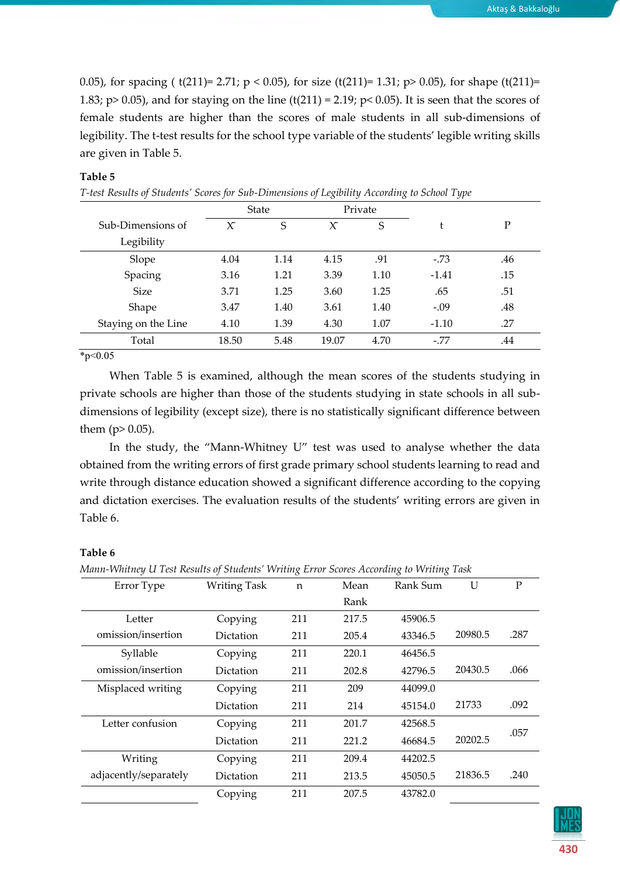0.05), for spacing ( $t(211)=2.71$ ;  $p < 0.05$ ), for size ( $t(211)=1.31$ ;  $p > 0.05$ ), for shape ( $t(211)=$ 1.83; p> 0.05), and for staying on the line (t(211) = 2.19; p< 0.05). It is seen that the scores of female students are higher than the scores of male students in all sub-dimensions of legibility. The t-test results for the school type variable of the students' legible writing skills are given in Table 5.

#### **Table 5**

|                     |        | State |        | Private |         |     |
|---------------------|--------|-------|--------|---------|---------|-----|
| Sub-Dimensions of   | $\chi$ | S     | $\chi$ | S       | t       | P   |
| Legibility          |        |       |        |         |         |     |
| Slope               | 4.04   | 1.14  | 4.15   | .91     | $-.73$  | .46 |
| Spacing             | 3.16   | 1.21  | 3.39   | 1.10    | $-1.41$ | .15 |
| <b>Size</b>         | 3.71   | 1.25  | 3.60   | 1.25    | .65     | .51 |
| Shape               | 3.47   | 1.40  | 3.61   | 1.40    | $-.09$  | .48 |
| Staying on the Line | 4.10   | 1.39  | 4.30   | 1.07    | $-1.10$ | .27 |
| Total               | 18.50  | 5.48  | 19.07  | 4.70    | $-.77$  | .44 |

*T-test Results of Students' Scores for Sub-Dimensions of Legibility According to School Type*

 $*p<0.05$ 

When Table 5 is examined, although the mean scores of the students studying in private schools are higher than those of the students studying in state schools in all subdimensions of legibility (except size), there is no statistically significant difference between them  $(p > 0.05)$ .

In the study, the "Mann-Whitney U" test was used to analyse whether the data obtained from the writing errors of first grade primary school students learning to read and write through distance education showed a significant difference according to the copying and dictation exercises. The evaluation results of the students' writing errors are given in Table 6.

#### **Table 6**

*Mann-Whitney U Test Results of Students' Writing Error Scores According to Writing Task*

| Error Type            | Writing Task | $\mathsf{n}$ | Mean  | Rank Sum | U       | P    |
|-----------------------|--------------|--------------|-------|----------|---------|------|
|                       |              |              | Rank  |          |         |      |
| Letter                | Copying      | 211          | 217.5 | 45906.5  |         |      |
| omission/insertion    | Dictation    | 211          | 205.4 | 43346.5  | 20980.5 | .287 |
| Syllable              | Copying      | 211          | 220.1 | 46456.5  |         |      |
| omission/insertion    | Dictation    | 211          | 202.8 | 42796.5  | 20430.5 | .066 |
| Misplaced writing     | Copying      | 211          | 209   | 44099.0  |         |      |
|                       | Dictation    | 211          | 214   | 45154.0  | 21733   | .092 |
| Letter confusion      | Copying      | 211          | 201.7 | 42568.5  |         |      |
|                       | Dictation    | 211          | 221.2 | 46684.5  | 20202.5 | .057 |
| Writing               | Copying      | 211          | 209.4 | 44202.5  |         |      |
| adjacently/separately | Dictation    | 211          | 213.5 | 45050.5  | 21836.5 | .240 |
|                       | Copying      | 211          | 207.5 | 43782.0  |         |      |

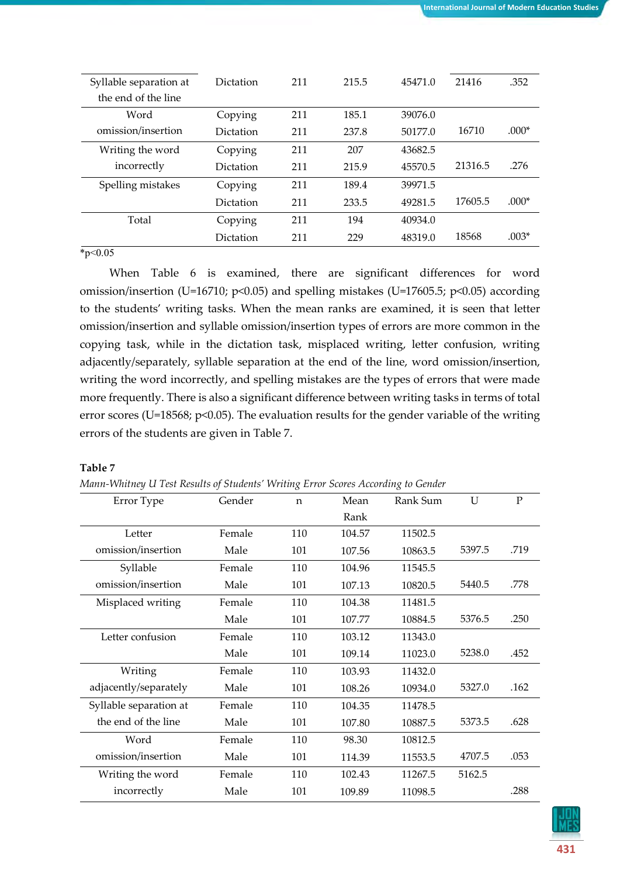| Syllable separation at | <b>Dictation</b> | 211 | 215.5 | 45471.0 | 21416   | .352    |
|------------------------|------------------|-----|-------|---------|---------|---------|
|                        |                  |     |       |         |         |         |
| the end of the line    |                  |     |       |         |         |         |
| Word                   | Copying          | 211 | 185.1 | 39076.0 |         |         |
| omission/insertion     | Dictation        | 211 | 237.8 | 50177.0 | 16710   | $.000*$ |
| Writing the word       | Copying          | 211 | 207   | 43682.5 |         |         |
| incorrectly            | Dictation        | 211 | 215.9 | 45570.5 | 21316.5 | .276    |
| Spelling mistakes      | Copying          | 211 | 189.4 | 39971.5 |         |         |
|                        | <b>Dictation</b> | 211 | 233.5 | 49281.5 | 17605.5 | $.000*$ |
| Total                  | Copying          | 211 | 194   | 40934.0 |         |         |
|                        | Dictation        | 211 | 229   | 48319.0 | 18568   | $.003*$ |

 $*p<0.05$ 

When Table 6 is examined, there are significant differences for word omission/insertion (U=16710;  $p<0.05$ ) and spelling mistakes (U=17605.5;  $p<0.05$ ) according to the students' writing tasks. When the mean ranks are examined, it is seen that letter omission/insertion and syllable omission/insertion types of errors are more common in the copying task, while in the dictation task, misplaced writing, letter confusion, writing adjacently/separately, syllable separation at the end of the line, word omission/insertion, writing the word incorrectly, and spelling mistakes are the types of errors that were made more frequently. There is also a significant difference between writing tasks in terms of total error scores (U=18568; p<0.05). The evaluation results for the gender variable of the writing errors of the students are given in Table 7.

#### **Table 7**

*Mann-Whitney U Test Results of Students' Writing Error Scores According to Gender*

| Error Type             | Gender | n   | Mean   | Rank Sum | U      | $\mathbf{P}$ |
|------------------------|--------|-----|--------|----------|--------|--------------|
|                        |        |     | Rank   |          |        |              |
| Letter                 | Female | 110 | 104.57 | 11502.5  |        |              |
| omission/insertion     | Male   | 101 | 107.56 | 10863.5  | 5397.5 | .719         |
| Syllable               | Female | 110 | 104.96 | 11545.5  |        |              |
| omission/insertion     | Male   | 101 | 107.13 | 10820.5  | 5440.5 | .778         |
| Misplaced writing      | Female | 110 | 104.38 | 11481.5  |        |              |
|                        | Male   | 101 | 107.77 | 10884.5  | 5376.5 | .250         |
| Letter confusion       | Female | 110 | 103.12 | 11343.0  |        |              |
|                        | Male   | 101 | 109.14 | 11023.0  | 5238.0 | .452         |
| Writing                | Female | 110 | 103.93 | 11432.0  |        |              |
| adjacently/separately  | Male   | 101 | 108.26 | 10934.0  | 5327.0 | .162         |
| Syllable separation at | Female | 110 | 104.35 | 11478.5  |        |              |
| the end of the line    | Male   | 101 | 107.80 | 10887.5  | 5373.5 | .628         |
| Word                   | Female | 110 | 98.30  | 10812.5  |        |              |
| omission/insertion     | Male   | 101 | 114.39 | 11553.5  | 4707.5 | .053         |
| Writing the word       | Female | 110 | 102.43 | 11267.5  | 5162.5 |              |
| incorrectly            | Male   | 101 | 109.89 | 11098.5  |        | .288         |
|                        |        |     |        |          |        |              |

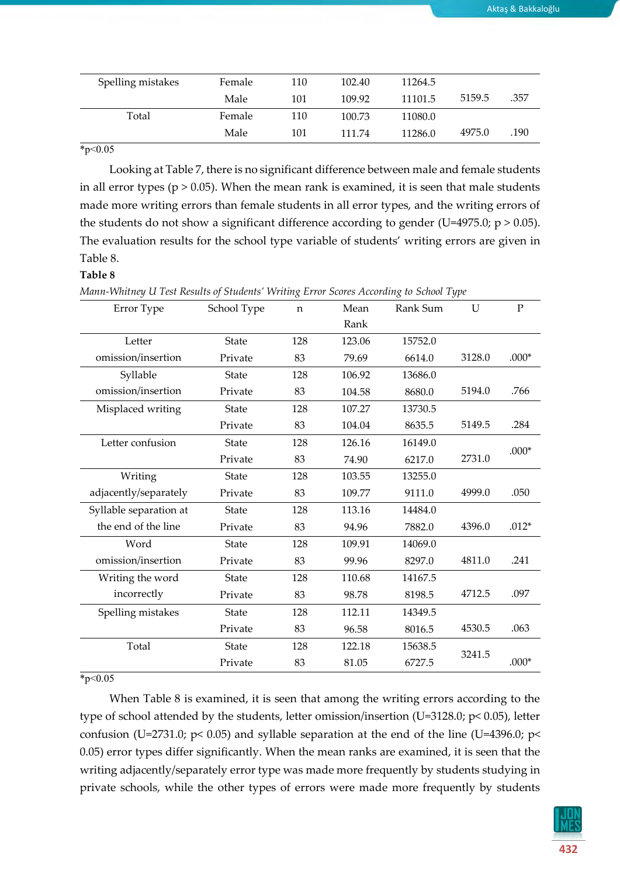| Spelling mistakes | Female | 110 | 102.40 | 11264.5 |        |      |
|-------------------|--------|-----|--------|---------|--------|------|
|                   | Male   | 101 | 109.92 | 11101.5 | 5159.5 | .357 |
| Total             | Female | 110 | 100.73 | 11080.0 |        |      |
|                   | Male   | 101 | 111.74 | 11286.0 | 4975.0 | .190 |

 $*_{p<0.05}$ 

Looking at Table 7, there is no significant difference between male and female students in all error types ( $p > 0.05$ ). When the mean rank is examined, it is seen that male students made more writing errors than female students in all error types, and the writing errors of the students do not show a significant difference according to gender (U=4975.0;  $p > 0.05$ ). The evaluation results for the school type variable of students' writing errors are given in Table 8.

#### **Table 8**

*Mann-Whitney U Test Results of Students' Writing Error Scores According to School Type*

| Error Type             | School Type  | n   | Mean   | Rank Sum | U      | ${\bf P}$ |
|------------------------|--------------|-----|--------|----------|--------|-----------|
|                        |              |     | Rank   |          |        |           |
| Letter                 | State        | 128 | 123.06 | 15752.0  |        |           |
| omission/insertion     | Private      | 83  | 79.69  | 6614.0   | 3128.0 | $.000*$   |
| Syllable               | State        | 128 | 106.92 | 13686.0  |        |           |
| omission/insertion     | Private      | 83  | 104.58 | 8680.0   | 5194.0 | .766      |
| Misplaced writing      | <b>State</b> | 128 | 107.27 | 13730.5  |        |           |
|                        | Private      | 83  | 104.04 | 8635.5   | 5149.5 | .284      |
| Letter confusion       | <b>State</b> | 128 | 126.16 | 16149.0  |        | $.000*$   |
|                        | Private      | 83  | 74.90  | 6217.0   | 2731.0 |           |
| Writing                | State        | 128 | 103.55 | 13255.0  |        |           |
| adjacently/separately  | Private      | 83  | 109.77 | 9111.0   | 4999.0 | .050      |
| Syllable separation at | <b>State</b> | 128 | 113.16 | 14484.0  |        |           |
| the end of the line    | Private      | 83  | 94.96  | 7882.0   | 4396.0 | $.012*$   |
| Word                   | <b>State</b> | 128 | 109.91 | 14069.0  |        |           |
| omission/insertion     | Private      | 83  | 99.96  | 8297.0   | 4811.0 | .241      |
| Writing the word       | <b>State</b> | 128 | 110.68 | 14167.5  |        |           |
| incorrectly            | Private      | 83  | 98.78  | 8198.5   | 4712.5 | .097      |
| Spelling mistakes      | State        | 128 | 112.11 | 14349.5  |        |           |
|                        | Private      | 83  | 96.58  | 8016.5   | 4530.5 | .063      |
| Total                  | State        | 128 | 122.18 | 15638.5  |        |           |
|                        | Private      | 83  | 81.05  | 6727.5   | 3241.5 | $.000*$   |

#### $*_{p<0.05}$

When Table 8 is examined, it is seen that among the writing errors according to the type of school attended by the students, letter omission/insertion (U=3128.0; p< 0.05), letter confusion (U=2731.0;  $p$ < 0.05) and syllable separation at the end of the line (U=4396.0;  $p$ < 0.05) error types differ significantly. When the mean ranks are examined, it is seen that the writing adjacently/separately error type was made more frequently by students studying in private schools, while the other types of errors were made more frequently by students

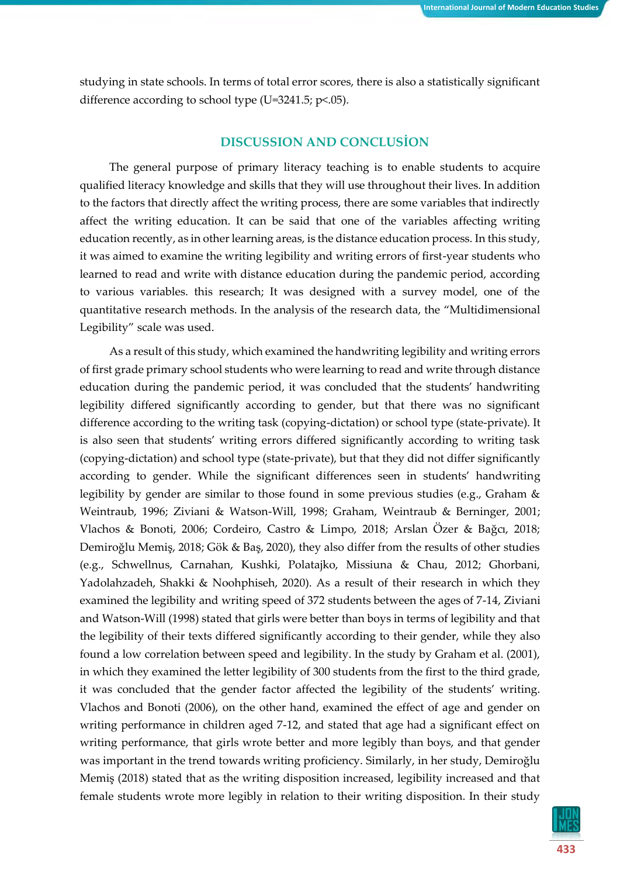studying in state schools. In terms of total error scores, there is also a statistically significant difference according to school type (U=3241.5;  $p$ <.05).

### **DISCUSSION AND CONCLUSİON**

The general purpose of primary literacy teaching is to enable students to acquire qualified literacy knowledge and skills that they will use throughout their lives. In addition to the factors that directly affect the writing process, there are some variables that indirectly affect the writing education. It can be said that one of the variables affecting writing education recently, as in other learning areas, is the distance education process. In this study, it was aimed to examine the writing legibility and writing errors of first-year students who learned to read and write with distance education during the pandemic period, according to various variables. this research; It was designed with a survey model, one of the quantitative research methods. In the analysis of the research data, the "Multidimensional Legibility" scale was used.

As a result of this study, which examined the handwriting legibility and writing errors of first grade primary school students who were learning to read and write through distance education during the pandemic period, it was concluded that the students' handwriting legibility differed significantly according to gender, but that there was no significant difference according to the writing task (copying-dictation) or school type (state-private). It is also seen that students' writing errors differed significantly according to writing task (copying-dictation) and school type (state-private), but that they did not differ significantly according to gender. While the significant differences seen in students' handwriting legibility by gender are similar to those found in some previous studies (e.g., Graham & Weintraub, 1996; Ziviani & Watson-Will, 1998; Graham, Weintraub & Berninger, 2001; Vlachos & Bonoti, 2006; Cordeiro, Castro & Limpo, 2018; Arslan Özer & Bağcı, 2018; Demiroğlu Memiş, 2018; Gök & Baş, 2020), they also differ from the results of other studies (e.g., Schwellnus, Carnahan, Kushki, Polatajko, Missiuna & Chau, 2012; Ghorbani, Yadolahzadeh, Shakki & Noohphiseh, 2020). As a result of their research in which they examined the legibility and writing speed of 372 students between the ages of 7-14, Ziviani and Watson‐Will (1998) stated that girls were better than boys in terms of legibility and that the legibility of their texts differed significantly according to their gender, while they also found a low correlation between speed and legibility. In the study by Graham et al. (2001), in which they examined the letter legibility of 300 students from the first to the third grade, it was concluded that the gender factor affected the legibility of the students' writing. Vlachos and Bonoti (2006), on the other hand, examined the effect of age and gender on writing performance in children aged 7-12, and stated that age had a significant effect on writing performance, that girls wrote better and more legibly than boys, and that gender was important in the trend towards writing proficiency. Similarly, in her study, Demiroğlu Memiş (2018) stated that as the writing disposition increased, legibility increased and that female students wrote more legibly in relation to their writing disposition. In their study

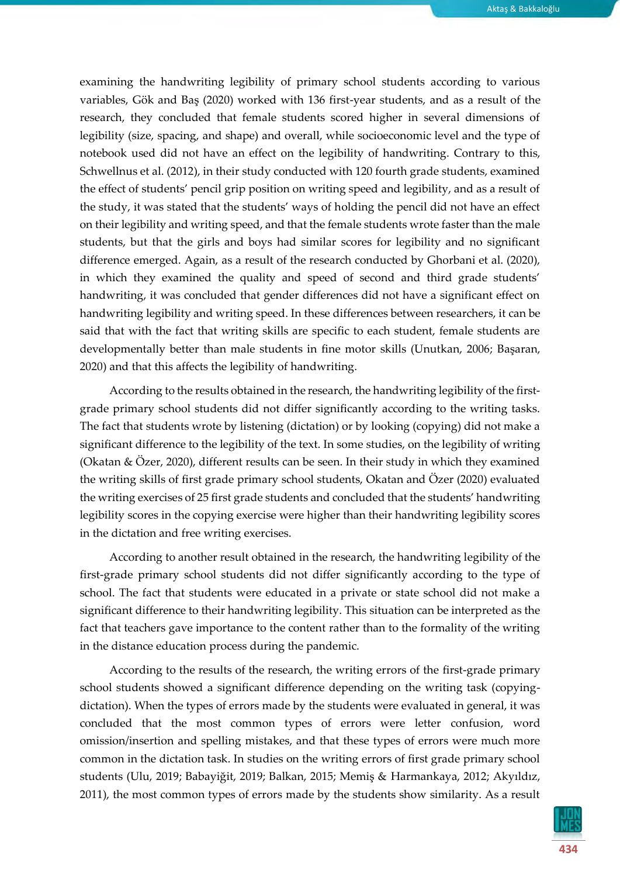examining the handwriting legibility of primary school students according to various variables, Gök and Baş (2020) worked with 136 first-year students, and as a result of the research, they concluded that female students scored higher in several dimensions of legibility (size, spacing, and shape) and overall, while socioeconomic level and the type of notebook used did not have an effect on the legibility of handwriting. Contrary to this, Schwellnus et al. (2012), in their study conducted with 120 fourth grade students, examined the effect of students' pencil grip position on writing speed and legibility, and as a result of the study, it was stated that the students' ways of holding the pencil did not have an effect on their legibility and writing speed, and that the female students wrote faster than the male students, but that the girls and boys had similar scores for legibility and no significant difference emerged. Again, as a result of the research conducted by Ghorbani et al. (2020), in which they examined the quality and speed of second and third grade students' handwriting, it was concluded that gender differences did not have a significant effect on handwriting legibility and writing speed. In these differences between researchers, it can be said that with the fact that writing skills are specific to each student, female students are developmentally better than male students in fine motor skills (Unutkan, 2006; Başaran, 2020) and that this affects the legibility of handwriting.

According to the results obtained in the research, the handwriting legibility of the firstgrade primary school students did not differ significantly according to the writing tasks. The fact that students wrote by listening (dictation) or by looking (copying) did not make a significant difference to the legibility of the text. In some studies, on the legibility of writing (Okatan & Özer, 2020), different results can be seen. In their study in which they examined the writing skills of first grade primary school students, Okatan and Özer (2020) evaluated the writing exercises of 25 first grade students and concluded that the students' handwriting legibility scores in the copying exercise were higher than their handwriting legibility scores in the dictation and free writing exercises.

According to another result obtained in the research, the handwriting legibility of the first-grade primary school students did not differ significantly according to the type of school. The fact that students were educated in a private or state school did not make a significant difference to their handwriting legibility. This situation can be interpreted as the fact that teachers gave importance to the content rather than to the formality of the writing in the distance education process during the pandemic.

According to the results of the research, the writing errors of the first-grade primary school students showed a significant difference depending on the writing task (copyingdictation). When the types of errors made by the students were evaluated in general, it was concluded that the most common types of errors were letter confusion, word omission/insertion and spelling mistakes, and that these types of errors were much more common in the dictation task. In studies on the writing errors of first grade primary school students (Ulu, 2019; Babayiğit, 2019; Balkan, 2015; Memiş & Harmankaya, 2012; Akyıldız, 2011), the most common types of errors made by the students show similarity. As a result

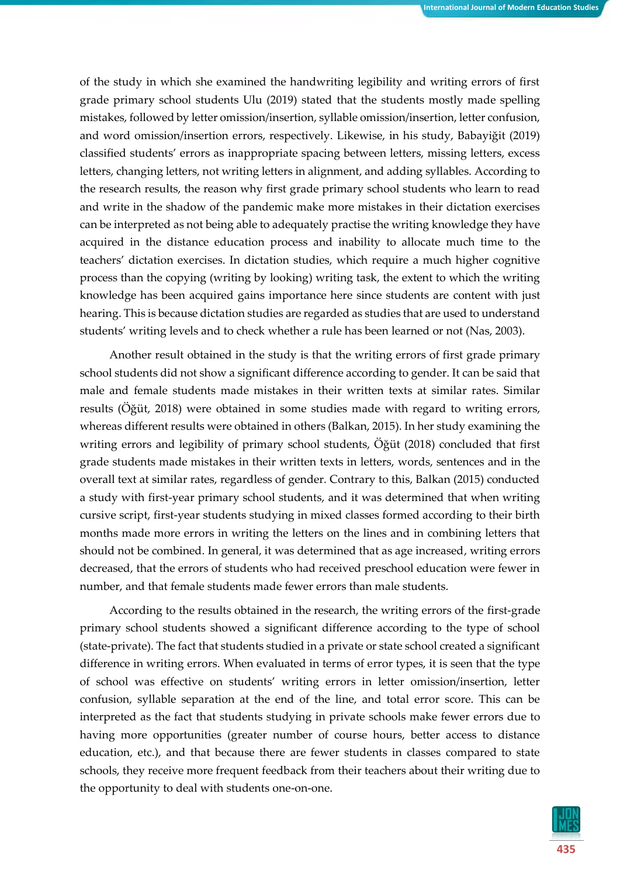of the study in which she examined the handwriting legibility and writing errors of first grade primary school students Ulu (2019) stated that the students mostly made spelling mistakes, followed by letter omission/insertion, syllable omission/insertion, letter confusion, and word omission/insertion errors, respectively. Likewise, in his study, Babayiğit (2019) classified students' errors as inappropriate spacing between letters, missing letters, excess letters, changing letters, not writing letters in alignment, and adding syllables. According to the research results, the reason why first grade primary school students who learn to read and write in the shadow of the pandemic make more mistakes in their dictation exercises can be interpreted as not being able to adequately practise the writing knowledge they have acquired in the distance education process and inability to allocate much time to the teachers' dictation exercises. In dictation studies, which require a much higher cognitive process than the copying (writing by looking) writing task, the extent to which the writing knowledge has been acquired gains importance here since students are content with just hearing. This is because dictation studies are regarded as studies that are used to understand students' writing levels and to check whether a rule has been learned or not (Nas, 2003).

Another result obtained in the study is that the writing errors of first grade primary school students did not show a significant difference according to gender. It can be said that male and female students made mistakes in their written texts at similar rates. Similar results (Öğüt, 2018) were obtained in some studies made with regard to writing errors, whereas different results were obtained in others (Balkan, 2015). In her study examining the writing errors and legibility of primary school students, Öğüt (2018) concluded that first grade students made mistakes in their written texts in letters, words, sentences and in the overall text at similar rates, regardless of gender. Contrary to this, Balkan (2015) conducted a study with first-year primary school students, and it was determined that when writing cursive script, first-year students studying in mixed classes formed according to their birth months made more errors in writing the letters on the lines and in combining letters that should not be combined. In general, it was determined that as age increased, writing errors decreased, that the errors of students who had received preschool education were fewer in number, and that female students made fewer errors than male students.

According to the results obtained in the research, the writing errors of the first-grade primary school students showed a significant difference according to the type of school (state-private). The fact that students studied in a private or state school created a significant difference in writing errors. When evaluated in terms of error types, it is seen that the type of school was effective on students' writing errors in letter omission/insertion, letter confusion, syllable separation at the end of the line, and total error score. This can be interpreted as the fact that students studying in private schools make fewer errors due to having more opportunities (greater number of course hours, better access to distance education, etc.), and that because there are fewer students in classes compared to state schools, they receive more frequent feedback from their teachers about their writing due to the opportunity to deal with students one-on-one.

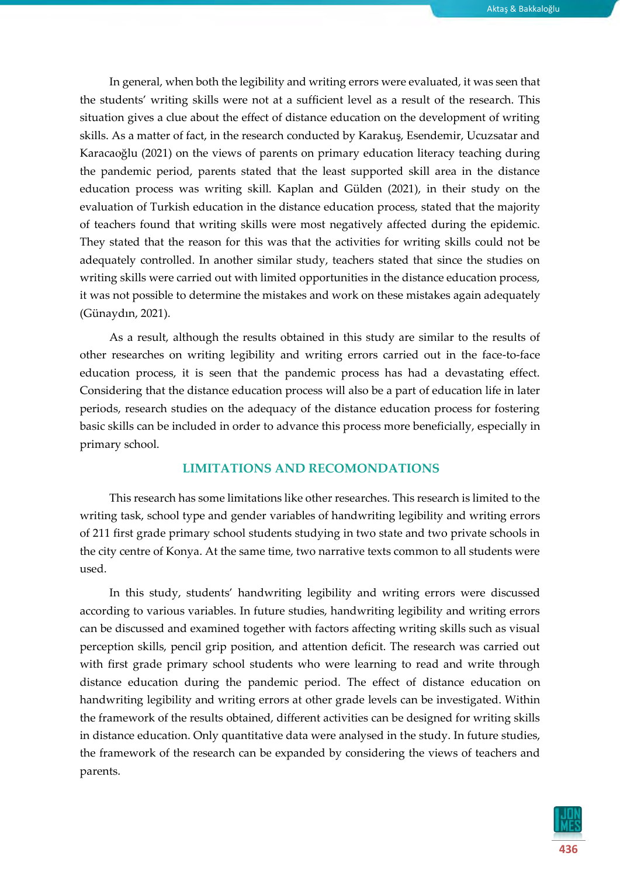In general, when both the legibility and writing errors were evaluated, it was seen that the students' writing skills were not at a sufficient level as a result of the research. This situation gives a clue about the effect of distance education on the development of writing skills. As a matter of fact, in the research conducted by Karakuş, Esendemir, Ucuzsatar and Karacaoğlu (2021) on the views of parents on primary education literacy teaching during the pandemic period, parents stated that the least supported skill area in the distance education process was writing skill. Kaplan and Gülden (2021), in their study on the evaluation of Turkish education in the distance education process, stated that the majority of teachers found that writing skills were most negatively affected during the epidemic. They stated that the reason for this was that the activities for writing skills could not be adequately controlled. In another similar study, teachers stated that since the studies on writing skills were carried out with limited opportunities in the distance education process, it was not possible to determine the mistakes and work on these mistakes again adequately (Günaydın, 2021).

As a result, although the results obtained in this study are similar to the results of other researches on writing legibility and writing errors carried out in the face-to-face education process, it is seen that the pandemic process has had a devastating effect. Considering that the distance education process will also be a part of education life in later periods, research studies on the adequacy of the distance education process for fostering basic skills can be included in order to advance this process more beneficially, especially in primary school.

#### **LIMITATIONS AND RECOMONDATIONS**

This research has some limitations like other researches. This research is limited to the writing task, school type and gender variables of handwriting legibility and writing errors of 211 first grade primary school students studying in two state and two private schools in the city centre of Konya. At the same time, two narrative texts common to all students were used.

In this study, students' handwriting legibility and writing errors were discussed according to various variables. In future studies, handwriting legibility and writing errors can be discussed and examined together with factors affecting writing skills such as visual perception skills, pencil grip position, and attention deficit. The research was carried out with first grade primary school students who were learning to read and write through distance education during the pandemic period. The effect of distance education on handwriting legibility and writing errors at other grade levels can be investigated. Within the framework of the results obtained, different activities can be designed for writing skills in distance education. Only quantitative data were analysed in the study. In future studies, the framework of the research can be expanded by considering the views of teachers and parents.

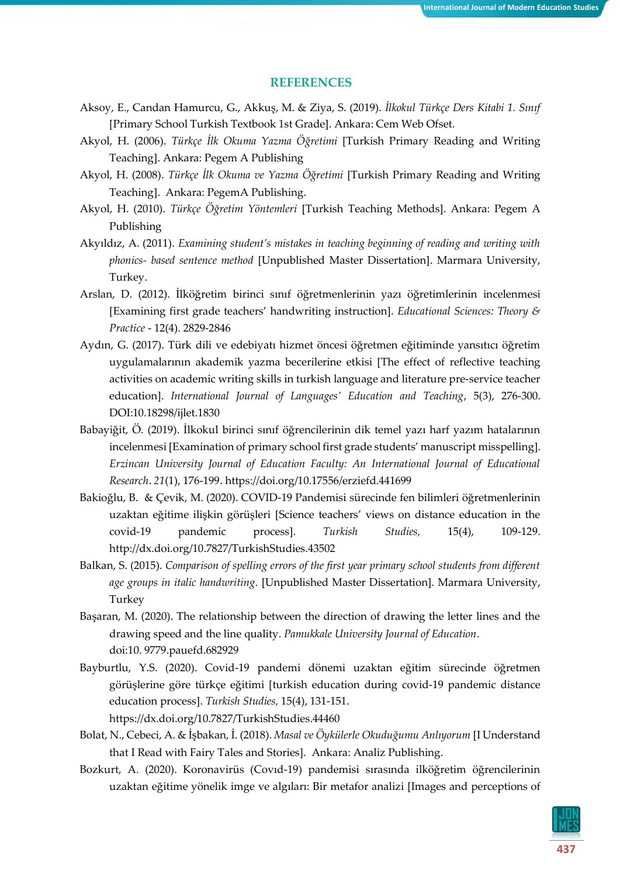#### **REFERENCES**

- Aksoy, E., Candan Hamurcu, G., Akkuş, M. & Ziya, S. (2019). *İlkokul Türkçe Ders Kitabi 1. Sınıf* [Primary School Turkish Textbook 1st Grade]. Ankara: Cem Web Ofset.
- Akyol, H. (2006). *Türkçe İlk Okuma Yazma Öğretimi* [Turkish Primary Reading and Writing Teaching]. Ankara: Pegem A Publishing
- Akyol, H. (2008). *Türkçe İlk Okuma ve Yazma Öğretimi* [Turkish Primary Reading and Writing Teaching]. Ankara: PegemA Publishing.
- Akyol, H. (2010). *Türkçe Öğretim Yöntemleri* [Turkish Teaching Methods]. Ankara: Pegem A Publishing
- Akyıldız, A. (2011). *Examining student's mistakes in teaching beginning of reading and writing with phonics- based sentence method* [Unpublished Master Dissertation]. Marmara University, Turkey.
- Arslan, D. (2012). İlköğretim birinci sınıf öğretmenlerinin yazı öğretimlerinin incelenmesi [Examining first grade teachers' handwriting instruction]. *Educational Sciences: Theory & Practice* - 12(4). 2829-2846
- Aydın, G. (2017). Türk dili ve edebiyatı hizmet öncesi öğretmen eğitiminde yansıtıcı öğretim uygulamalarının akademik yazma becerilerine etkisi [The effect of reflective teaching activities on academic writing skills in turkish language and literature pre-service teacher education]. *International Journal of Languages' Education and Teaching*, 5(3), 276-300. DO[I:10.18298/ijlet.1830](http://dx.doi.org/10.18298/ijlet.1830)
- Babayiğit, Ö. (2019). İlkokul birinci sınıf öğrencilerinin dik temel yazı harf yazım hatalarının incelenmesi [Examination of primary school first grade students' manuscript misspelling]. *Erzincan University Journal of Education Faculty: An International Journal of Educational Research*. *21*(1), 176-199.<https://doi.org/10.17556/erziefd.441699>
- Bakioğlu, B. & Çevik, M. (2020). COVID-19 Pandemisi sürecinde fen bilimleri öğretmenlerinin uzaktan eğitime ilişkin görüşleri [Science teachers' views on distance education in the covid-19 pandemic process]. *Turkish Studies,* 15(4), 109-129. <http://dx.doi.org/10.7827/TurkishStudies.43502>
- Balkan, S. (2015). *Comparison of spelling errors of the first year primary school students from different age groups in italic handwriting.* [Unpublished Master Dissertation]. Marmara University, Turkey
- Başaran, M. (2020). The relationship between the direction of drawing the letter lines and the drawing speed and the line quality. *Pamukkale University Journal of Education*. doi:10. 9779.pauefd.682929
- Bayburtlu, Y.S. (2020). Covid-19 pandemi dönemi uzaktan eğitim sürecinde öğretmen görüşlerine göre türkçe eğitimi [turkish education during covid-19 pandemic distance education process]. *Turkish Studies,* 15(4), 131-151. [https://dx.doi.org/10.7827/TurkishStudies.44460](about:blank)
- Bolat, N., Cebeci, A. & İşbakan, İ. (2018). *Masal ve Öykülerle Okuduğumu Anlıyorum* [I Understand that I Read with Fairy Tales and Stories]. Ankara: Analiz Publishing.
- Bozkurt, A. (2020). Koronavirüs (Covıd-19) pandemisi sırasında ilköğretim öğrencilerinin uzaktan eğitime yönelik imge ve algıları: Bir metafor analizi [Images and perceptions of

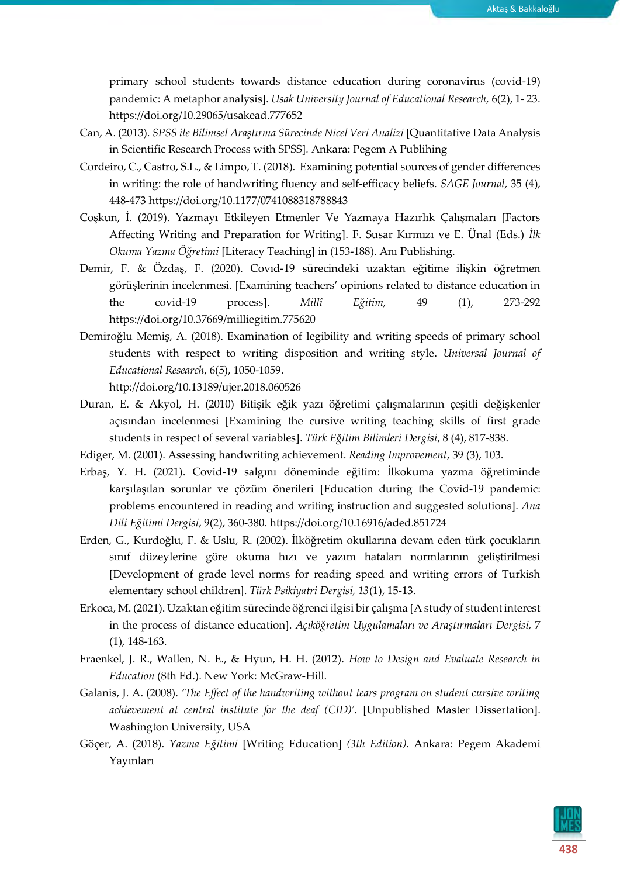primary school students towards distance education during coronavirus (covid-19) pandemic: A metaphor analysis]. *Usak University Journal of Educational Research,* 6(2), 1- 23. <https://doi.org/10.29065/usakead.777652>

- Can, A. (2013). *SPSS ile Bilimsel Araştırma Sürecinde Nicel Veri Analizi* [Quantitative Data Analysis in Scientific Research Process with SPSS]*.* Ankara: Pegem A Publihing
- Cordeiro, C., Castro, S.L., & Limpo, T. (2018). Examining potential sources of gender differences in writing: the role of handwriting fluency and self-efficacy beliefs. *SAGE Journal,* 35 (4), 448-47[3 https://doi.org/10.1177/0741088318788843](https://doi.org/10.1177/0741088318788843)
- Coşkun, İ. (2019). Yazmayı Etkileyen Etmenler Ve Yazmaya Hazırlık Çalışmaları [Factors Affecting Writing and Preparation for Writing]. F. Susar Kırmızı ve E. Ünal (Eds.) *İlk Okuma Yazma Öğretimi* [Literacy Teaching] in (153-188). Anı Publishing.
- Demir, F. & Özdaş, F. (2020). Covıd-19 sürecindeki uzaktan eğitime ilişkin öğretmen görüşlerinin incelenmesi. [Examining teachers' opinions related to distance education in the covid-19 process]. *Millî Eğitim,* 49 (1), 273-292 <https://doi.org/10.37669/milliegitim.775620>
- Demiroğlu Memiş, A. (2018). Examination of legibility and writing speeds of primary school students with respect to writing disposition and writing style. *Universal Journal of Educational Research*, 6(5), 1050-1059.

<http://doi.org/10.13189/ujer.2018.060526>

Duran, E. & Akyol, H. (2010) Bitişik eğik yazı öğretimi çalışmalarının çeşitli değişkenler açısından incelenmesi [Examining the cursive writing teaching skills of first grade students in respect of several variables]. *Türk Eğitim Bilimleri Dergisi*, 8 (4), 817-838.

Ediger, M. (2001). Assessing handwriting achievement. *Reading Improvement*, 39 (3), 103.

- Erbaş, Y. H. (2021). Covid-19 salgını döneminde eğitim: İlkokuma yazma öğretiminde karşılaşılan sorunlar ve çözüm önerileri [Education during the Covid-19 pandemic: problems encountered in reading and writing instruction and suggested solutions]. *Ana Dili Eğitimi Dergisi*, 9(2), 360-380. <https://doi.org/10.16916/aded.851724>
- Erden, G., Kurdoğlu, F. & Uslu, R. (2002). İlköğretim okullarına devam eden türk çocukların sınıf düzeylerine göre okuma hızı ve yazım hataları normlarının geliştirilmesi [Development of grade level norms for reading speed and writing errors of Turkish elementary school children]. *Türk Psikiyatri Dergisi, 13*(1), 15-13.
- Erkoca, M. (2021). Uzaktan eğitim sürecinde öğrenci ilgisi bir çalışma [A study of student interest in the process of distance education]. *Açıköğretim Uygulamaları ve Araştırmaları Dergisi,* 7 (1), 148-163.
- Fraenkel, J. R., Wallen, N. E., & Hyun, H. H. (2012). *How to Design and Evaluate Research in Education* (8th Ed.). New York: McGraw-Hill.
- Galanis, J. A. (2008). *'The Effect of the handwriting without tears program on student cursive writing achievement at central institute for the deaf (CID)'.* [Unpublished Master Dissertation]. Washington University, USA
- Göçer, A. (2018). *Yazma Eğitimi* [Writing Education] *(3th Edition).* Ankara: Pegem Akademi Yayınları

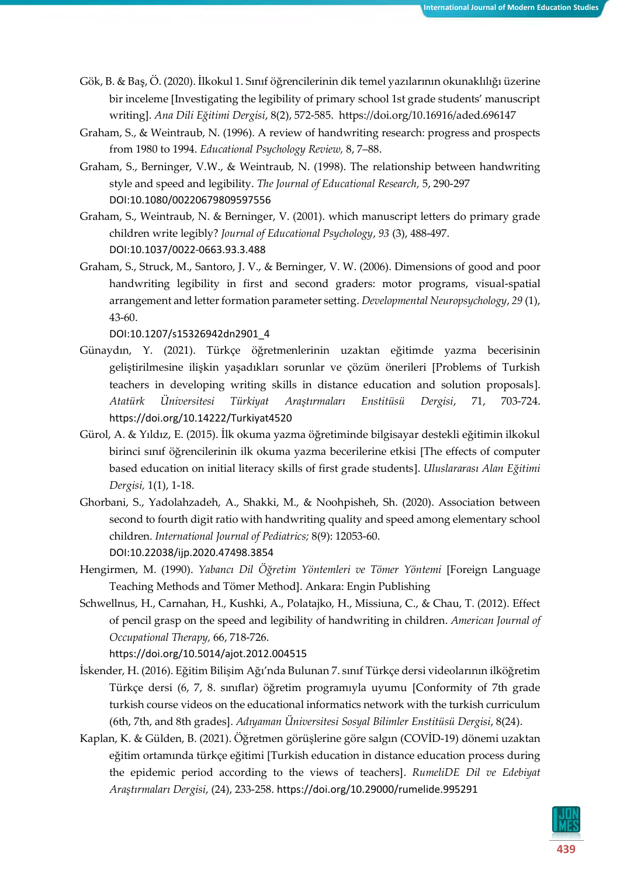- Gök, B. & Baş, Ö. (2020). İlkokul 1. Sınıf öğrencilerinin dik temel yazılarının okunaklılığı üzerine bir inceleme [Investigating the legibility of primary school 1st grade students' manuscript writing]. *Ana Dili Eğitimi Dergisi*, 8(2), 572-585. <https://doi.org/10.16916/aded.696147>
- Graham, S., & Weintraub, N. (1996). A review of handwriting research: progress and prospects from 1980 to 1994. *Educational Psychology Review,* 8, 7–88.
- Graham, S., Berninger, V.W., & Weintraub, N. (1998). The relationship between handwriting style and speed and legibility. *The Journal of Educational Research,* 5, 290-297 DOI[:10.1080/00220679809597556](http://dx.doi.org/10.1080/00220679809597556)
- Graham, S., Weintraub, N. & Berninger, V. (2001). which manuscript letters do primary grade children write legibly? *Journal of Educational Psychology*, *93* (3), 488-497. DOI[:10.1037/0022-0663.93.3.488](http://dx.doi.org/10.1037/0022-0663.93.3.488)
- Graham, S., Struck, M., Santoro, J. V., & Berninger, V. W. (2006). Dimensions of good and poor handwriting legibility in first and second graders: motor programs, visual-spatial arrangement and letter formation parameter setting. *Developmental Neuropsychology*, *29* (1), 43-60.

DOI[:10.1207/s15326942dn2901\\_4](http://dx.doi.org/10.1207/s15326942dn2901_4)

- Günaydın, Y. (2021). Türkçe öğretmenlerinin uzaktan eğitimde yazma becerisinin geliştirilmesine ilişkin yaşadıkları sorunlar ve çözüm önerileri [Problems of Turkish teachers in developing writing skills in distance education and solution proposals]. *Atatürk Üniversitesi Türkiyat Araştırmaları Enstitüsü Dergisi*, 71, 703-724. <https://doi.org/10.14222/Turkiyat4520>
- Gürol, A. & Yıldız, E. (2015). İlk okuma yazma öğretiminde bilgisayar destekli eğitimin ilkokul birinci sınıf öğrencilerinin ilk okuma yazma becerilerine etkisi [The effects of computer based education on initial literacy skills of first grade students]. *Uluslararası Alan Eğitimi Dergisi,* 1(1), 1-18.
- Ghorbani, S., Yadolahzadeh, A., Shakki, M., & Noohpisheh, Sh. (2020). Association between second to fourth digit ratio with handwriting quality and speed among elementary school children. *International Journal of Pediatrics;* 8(9): 12053-60. DOI[:10.22038/ijp.2020.47498.3854](http://dx.doi.org/10.22038/ijp.2020.47498.3854)
- Hengirmen, M. (1990). *Yabancı Dil Öğretim Yöntemleri ve Tömer Yöntemi* [Foreign Language Teaching Methods and Tömer Method]. Ankara: Engin Publishing
- Schwellnus, H., Carnahan, H., Kushki, A., Polatajko, H., Missiuna, C., & Chau, T. (2012). Effect of pencil grasp on the speed and legibility of handwriting in children. *American Journal of Occupational Therapy,* 66, 718-726.

[https://doi.org/10.5014/ajot.2012.004515](about:blank)

- İskender, H. (2016). Eğitim Bilişim Ağı'nda Bulunan 7. sınıf Türkçe dersi videolarının ilköğretim Türkçe dersi (6, 7, 8. sınıflar) öğretim programıyla uyumu [Conformity of 7th grade turkish course videos on the educational informatics network with the turkish curriculum (6th, 7th, and 8th grades]. *Adıyaman Üniversitesi Sosyal Bilimler Enstitüsü Dergisi*, 8(24).
- Kaplan, K. & Gülden, B. (2021). Öğretmen görüşlerine göre salgın (COVİD-19) dönemi uzaktan eğitim ortamında türkçe eğitimi [Turkish education in distance education process during the epidemic period according to the views of teachers]. *RumeliDE Dil ve Edebiyat Araştırmaları Dergisi*, (24), 233-258. <https://doi.org/10.29000/rumelide.995291>

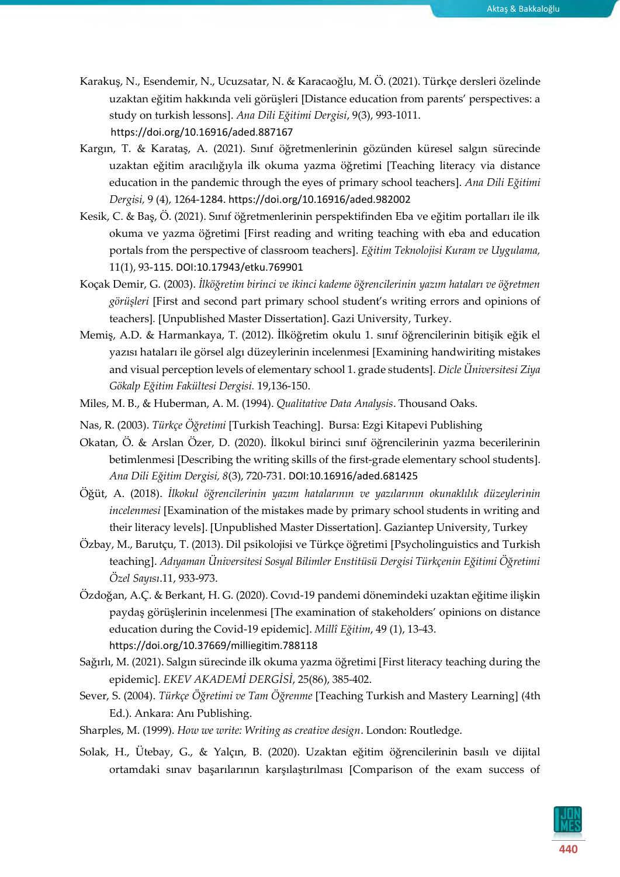- Karakuş, N., Esendemir, N., Ucuzsatar, N. & Karacaoğlu, M. Ö. (2021). Türkçe dersleri özelinde uzaktan eğitim hakkında veli görüşleri [Distance education from parents' perspectives: a study on turkish lessons]. *Ana Dili Eğitimi Dergisi*, 9(3), 993-1011. <https://doi.org/10.16916/aded.887167>
- Kargın, T. & Karataş, A. (2021). Sınıf öğretmenlerinin gözünden küresel salgın sürecinde uzaktan eğitim aracılığıyla ilk okuma yazma öğretimi [Teaching literacy via distance education in the pandemic through the eyes of primary school teachers]. *Ana Dili Eğitimi Dergisi,* 9 (4), 1264-1284. <https://doi.org/10.16916/aded.982002>
- Kesik, C. & Baş, Ö. (2021). Sınıf öğretmenlerinin perspektifinden Eba ve eğitim portalları ile ilk okuma ve yazma öğretimi [First reading and writing teaching with eba and education portals from the perspective of classroom teachers]. *Eğitim Teknolojisi Kuram ve Uygulama,* 11(1), 93-115. DOI[:10.17943/etku.769901](http://dx.doi.org/10.17943/etku.769901)
- Koçak Demir, G. (2003). *İlköğretim birinci ve ikinci kademe öğrencilerinin yazım hataları ve öğretmen görüşleri* [First and second part primary school student's writing errors and opinions of teachers]*.* [Unpublished Master Dissertation]. Gazi University, Turkey.
- Memiş, A.D. & Harmankaya, T. (2012). İlköğretim okulu 1. sınıf öğrencilerinin bitişik eğik el yazısı hataları ile görsel algı düzeylerinin incelenmesi [Examining handwiriting mistakes and visual perception levels of elementary school 1. grade students]. *Dicle Üniversitesi Ziya Gökalp Eğitim Fakültesi Dergisi.* 19,136-150.
- Miles, M. B., & Huberman, A. M. (1994). *Qualitative Data Analysis*. Thousand Oaks.
- Nas, R. (2003). *Türkçe Öğretimi* [Turkish Teaching]. Bursa: Ezgi Kitapevi Publishing
- Okatan, Ö. & Arslan Özer, D. (2020). İlkokul birinci sınıf öğrencilerinin yazma becerilerinin betimlenmesi [Describing the writing skills of the first-grade elementary school students]. *Ana Dili Eğitim Dergisi, 8*(3), 720-731. DOI[:10.16916/aded.681425](http://dx.doi.org/10.16916/aded.681425)
- Öğüt, A. (2018). *İlkokul öğrencilerinin yazım hatalarının ve yazılarının okunaklılık düzeylerinin incelenmesi* [Examination of the mistakes made by primary school students in writing and their literacy levels]. [Unpublished Master Dissertation]. Gaziantep University, Turkey
- Özbay, M., Barutçu, T. (2013). Dil psikolojisi ve Türkçe öğretimi [Psycholinguistics and Turkish teaching]. *Adıyaman Üniversitesi Sosyal Bilimler Enstitüsü Dergisi Türkçenin Eğitimi Öğretimi Özel Sayısı*.11, 933-973.
- Özdoğan, A.Ç. & Berkant, H. G. (2020). Covıd-19 pandemi dönemindeki uzaktan eğitime ilişkin paydaş görüşlerinin incelenmesi [The examination of stakeholders' opinions on distance education during the Covid-19 epidemic]. *Millî Eğitim*, 49 (1), 13-43. <https://doi.org/10.37669/milliegitim.788118>
- Sağırlı, M. (2021). Salgın sürecinde ilk okuma yazma öğretimi [First literacy teaching during the epidemic]. *EKEV AKADEMİ DERGİSİ*, 25(86), 385-402.
- Sever, S. (2004). *Türkçe Öğretimi ve Tam Öğrenme* [Teaching Turkish and Mastery Learning] (4th Ed.). Ankara: Anı Publishing.
- Sharples, M. (1999). *How we write: Writing as creative design*. London: Routledge.
- Solak, H., Ütebay, G., & Yalçın, B. (2020). Uzaktan eğitim öğrencilerinin basılı ve dijital ortamdaki sınav başarılarının karşılaştırılması [Comparison of the exam success of

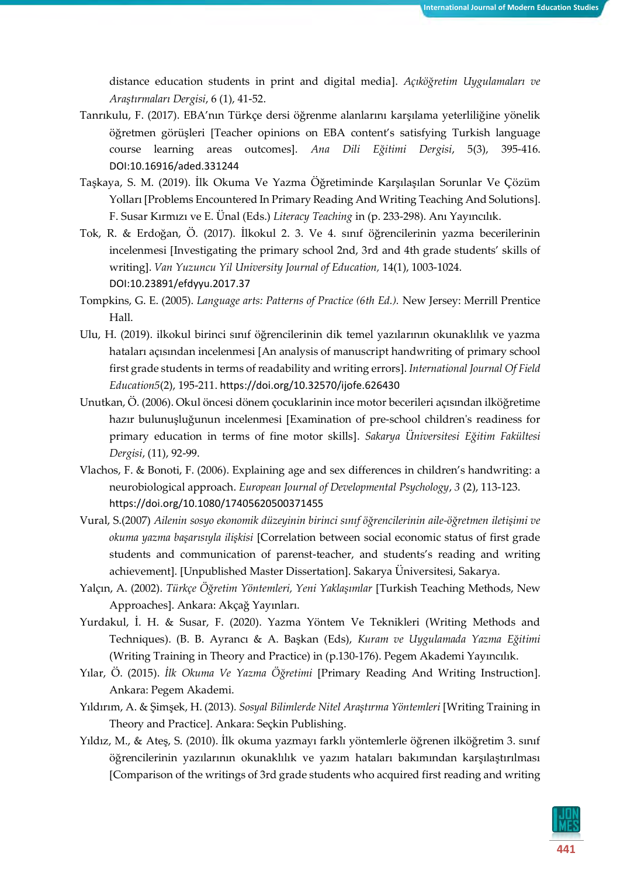distance education students in print and digital media]. *Açıköğretim Uygulamaları ve Araştırmaları Dergisi*, 6 (1), 41-52.

- Tanrıkulu, F. (2017). EBA'nın Türkçe dersi öğrenme alanlarını karşılama yeterliliğine yönelik öğretmen görüşleri [Teacher opinions on EBA content's satisfying Turkish language course learning areas outcomes]. *Ana Dili Eğitimi Dergisi*, 5(3), 395-416. DOI[:10.16916/aded.331244](http://dx.doi.org/10.16916/aded.331244)
- Taşkaya, S. M. (2019). İlk Okuma Ve Yazma Öğretiminde Karşılaşılan Sorunlar Ve Çözüm Yolları [Problems Encountered In Primary Reading And Writing Teaching And Solutions]. F. Susar Kırmızı ve E. Ünal (Eds.) *Literacy Teaching* in (p. 233-298). Anı Yayıncılık.
- Tok, R. & Erdoğan, Ö. (2017). İlkokul 2. 3. Ve 4. sınıf öğrencilerinin yazma becerilerinin incelenmesi [Investigating the primary school 2nd, 3rd and 4th grade students' skills of writing]. *Van Yuzuncu Yil University Journal of Education,* 14(1), 1003-1024. DOI[:10.23891/efdyyu.2017.37](http://dx.doi.org/10.23891/efdyyu.2017.37)
- Tompkins, G. E. (2005). *Language arts: Patterns of Practice (6th Ed.).* New Jersey: Merrill Prentice Hall.
- Ulu, H. (2019). ilkokul birinci sınıf öğrencilerinin dik temel yazılarının okunaklılık ve yazma hataları açısından incelenmesi [An analysis of manuscript handwriting of primary school first grade students in terms of readability and writing errors]. *International Journal Of Field Education5*(2), 195-211. <https://doi.org/10.32570/ijofe.626430>
- Unutkan, Ö. (2006). Okul öncesi dönem çocuklarinin ince motor becerileri açısından ilköğretime hazır bulunuşluğunun incelenmesi [Examination of pre-school children's readiness for primary education in terms of fine motor skills]. *Sakarya Üniversitesi Eğitim Fakültesi Dergisi*, (11), 92-99.
- Vlachos, F. & Bonoti, F. (2006). Explaining age and sex differences in children's handwriting: a neurobiological approach. *European Journal of Developmental Psychology*, *3* (2), 113-123. <https://doi.org/10.1080/17405620500371455>
- Vural, S.(2007) *Ailenin sosyo ekonomik düzeyinin birinci sınıf öğrencilerinin aile-öğretmen iletişimi ve okuma yazma başarısıyla ilişkisi* [Correlation between social economic status of first grade students and communication of parenst-teacher, and students's reading and writing achievement]. [Unpublished Master Dissertation]. Sakarya Üniversitesi, Sakarya.
- Yalçın, A. (2002). *Türkçe Öğretim Yöntemleri, Yeni Yaklaşımlar* [Turkish Teaching Methods, New Approaches]. Ankara: Akçağ Yayınları.
- Yurdakul, İ. H. & Susar, F. (2020). Yazma Yöntem Ve Teknikleri (Writing Methods and Techniques). (B. B. Ayrancı & A. Başkan (Eds), *Kuram ve Uygulamada Yazma Eğitimi*  (Writing Training in Theory and Practice) in (p.130-176). Pegem Akademi Yayıncılık.
- Yılar, Ö. (2015). *İlk Okuma Ve Yazma Öğretimi* [Primary Reading And Writing Instruction]. Ankara: Pegem Akademi.
- Yıldırım, A. & Şimşek, H. (2013)*. Sosyal Bilimlerde Nitel Araştırma Yöntemleri* [Writing Training in Theory and Practice]. Ankara: Seçkin Publishing.
- Yıldız, M., & Ateş, S. (2010). İlk okuma yazmayı farklı yöntemlerle öğrenen ilköğretim 3. sınıf öğrencilerinin yazılarının okunaklılık ve yazım hataları bakımından karşılaştırılması [Comparison of the writings of 3rd grade students who acquired first reading and writing

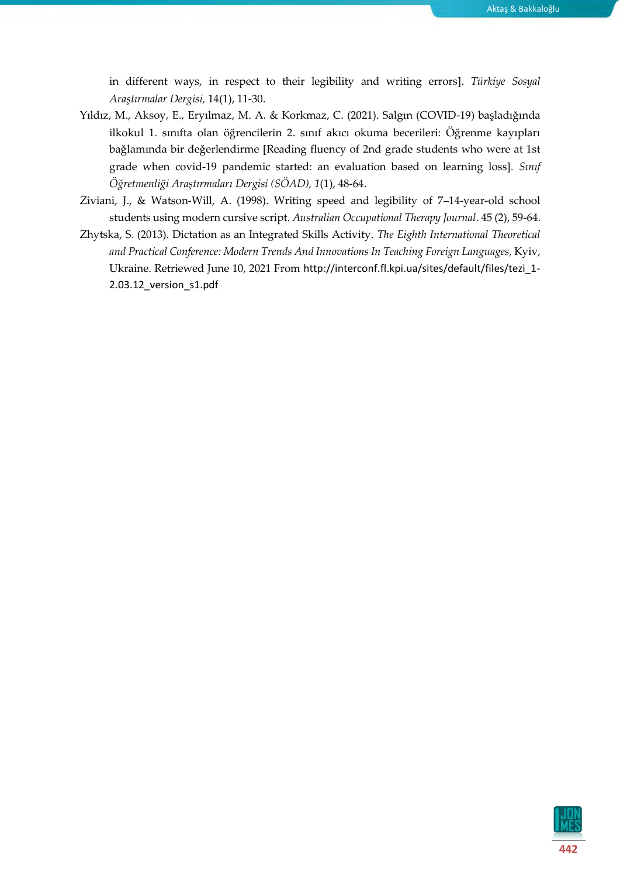in different ways, in respect to their legibility and writing errors]. *Türkiye Sosyal Araştırmalar Dergisi,* 14(1), 11-30.

- Yıldız, M., Aksoy, E., Eryılmaz, M. A. & Korkmaz, C. (2021). Salgın (COVID-19) başladığında ilkokul 1. sınıfta olan öğrencilerin 2. sınıf akıcı okuma becerileri: Öğrenme kayıpları bağlamında bir değerlendirme [Reading fluency of 2nd grade students who were at 1st grade when covid-19 pandemic started: an evaluation based on learning loss]*. Sınıf Öğretmenliği Araştırmaları Dergisi (SÖAD), 1*(1), 48-64.
- Ziviani, J., & Watson‐Will, A. (1998). Writing speed and legibility of 7–14‐year‐old school students using modern cursive script. *Australian Occupational Therapy Journal*. 45 (2), 59-64.
- Zhytska, S. (2013). Dictation as an Integrated Skills Activity. *The Eighth International Theoretical and Practical Conference: Modern Trends And Innovations In Teaching Foreign Languages,* Kyiv, Ukraine. Retriewed June 10, 2021 From [http://interconf.fl.kpi.ua/sites/default/files/tezi\\_1-](http://interconf.fl.kpi.ua/sites/default/files/tezi_1-2.03.12_version_s1.pdf) [2.03.12\\_version\\_s1.pdf](http://interconf.fl.kpi.ua/sites/default/files/tezi_1-2.03.12_version_s1.pdf)

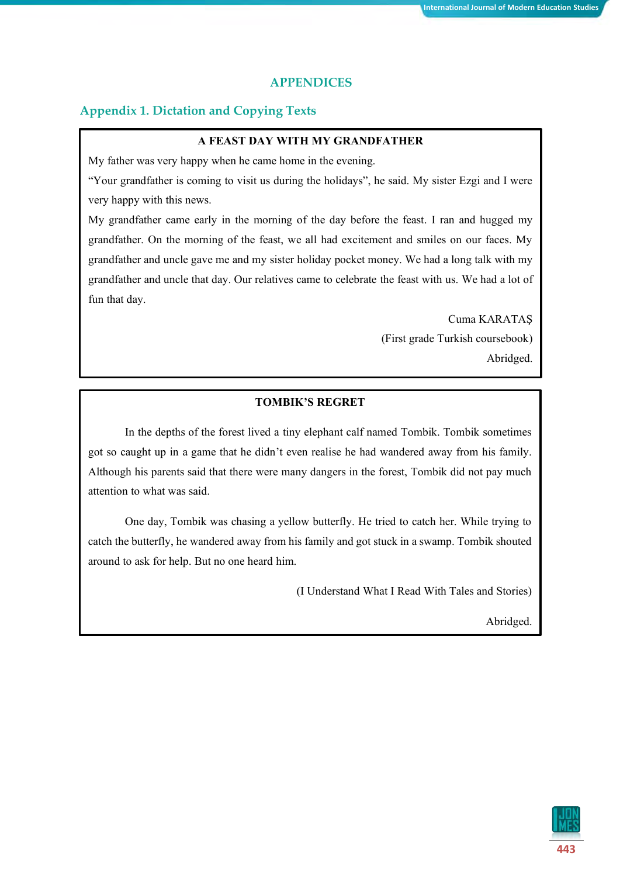#### **APPENDICES**

#### **Appendix 1. Dictation and Copying Texts**

#### **A FEAST DAY WITH MY GRANDFATHER**

My father was very happy when he came home in the evening.

"Your grandfather is coming to visit us during the holidays", he said. My sister Ezgi and I were very happy with this news.

My grandfather came early in the morning of the day before the feast. I ran and hugged my grandfather. On the morning of the feast, we all had excitement and smiles on our faces. My grandfather and uncle gave me and my sister holiday pocket money. We had a long talk with my grandfather and uncle that day. Our relatives came to celebrate the feast with us. We had a lot of fun that day.

> Cuma KARATAŞ (First grade Turkish coursebook) Abridged.

#### **TOMBIK'S REGRET**

In the depths of the forest lived a tiny elephant calf named Tombik. Tombik sometimes got so caught up in a game that he didn't even realise he had wandered away from his family. Although his parents said that there were many dangers in the forest, Tombik did not pay much attention to what was said.

One day, Tombik was chasing a yellow butterfly. He tried to catch her. While trying to catch the butterfly, he wandered away from his family and got stuck in a swamp. Tombik shouted around to ask for help. But no one heard him.

(I Understand What I Read With Tales and Stories)

Abridged.